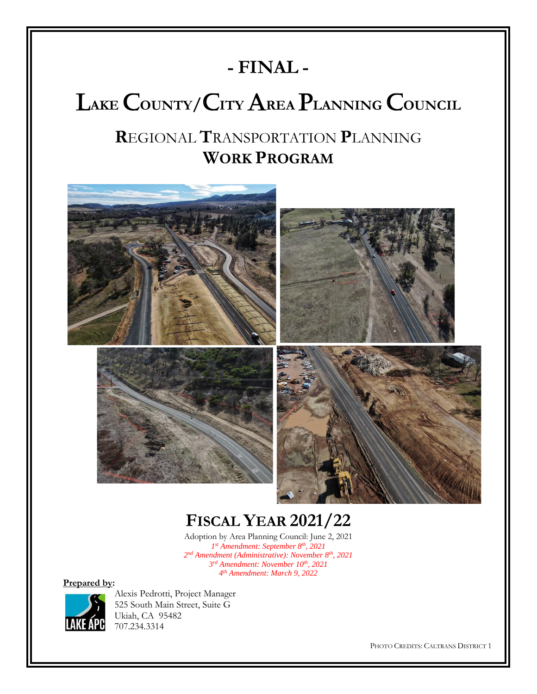# **- FINAL -**

# L**AKE** C**OUNTY/**C**ITY** A**REA** P**LANNING** C**OUNCIL**

# **R**EGIONAL **T**RANSPORTATION **P**LANNING **WORK PROGRAM**



# **FISCAL YEAR 2021/22**

Adoption by Area Planning Council: June 2, 2021 *st Amendment: September 8th , 2021 nd Amendment (Administrative): November 8 th, 2021 rd Amendment: November 10th, 2021 th Amendment: March 9, 2022*

**Prepared by:**



Alexis Pedrotti, Project Manager 525 South Main Street, Suite G Ukiah, CA 95482 707.234.3314

PHOTO CREDITS: CALTRANS DISTRICT 1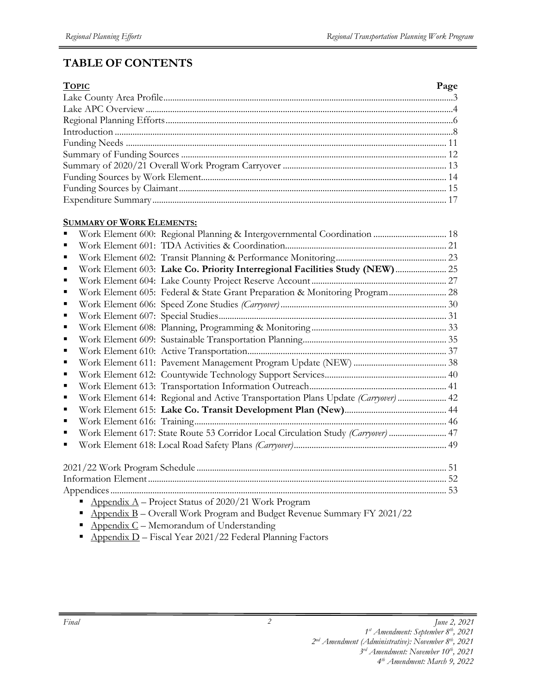# **TABLE OF CONTENTS**

| <b>TOPIC</b> | Page |
|--------------|------|
|              |      |
|              |      |
|              |      |
|              |      |
|              |      |
|              |      |
|              |      |
|              |      |
|              |      |
|              |      |

#### **SUMMARY OF WORK ELEMENTS:**

|  | Work Element 600: Regional Planning & Intergovernmental Coordination  18          |  |
|--|-----------------------------------------------------------------------------------|--|
|  |                                                                                   |  |
|  |                                                                                   |  |
|  | Work Element 603: Lake Co. Priority Interregional Facilities Study (NEW)  25      |  |
|  |                                                                                   |  |
|  | Work Element 605: Federal & State Grant Preparation & Monitoring Program 28       |  |
|  |                                                                                   |  |
|  |                                                                                   |  |
|  |                                                                                   |  |
|  |                                                                                   |  |
|  |                                                                                   |  |
|  |                                                                                   |  |
|  |                                                                                   |  |
|  |                                                                                   |  |
|  | Work Element 614: Regional and Active Transportation Plans Update (Carryover)  42 |  |
|  |                                                                                   |  |
|  |                                                                                   |  |
|  | Work Element 617: State Route 53 Corridor Local Circulation Study (Carryover)  47 |  |
|  |                                                                                   |  |
|  |                                                                                   |  |
|  |                                                                                   |  |
|  |                                                                                   |  |
|  | Appendix $A$ – Project Status of 2020/21 Work Program                             |  |
|  | Appendix B - Overall Work Program and Budget Revenue Summary FY 2021/22           |  |
|  | $\Lambda$ i $\Gamma$ $\Gamma$ $\Lambda$ i $\Gamma$ i $\Gamma$ ii $\Gamma$         |  |

- Appendix  $C$  Memorandum of Understanding
- **•** Appendix D Fiscal Year 2021/22 Federal Planning Factors

*<sup>2</sup> nd Amendment (Administrative): November 8 th, 2021* 

*<sup>3</sup> rd Amendment: November 10th, 2021 4 th Amendment: March 9, 2022*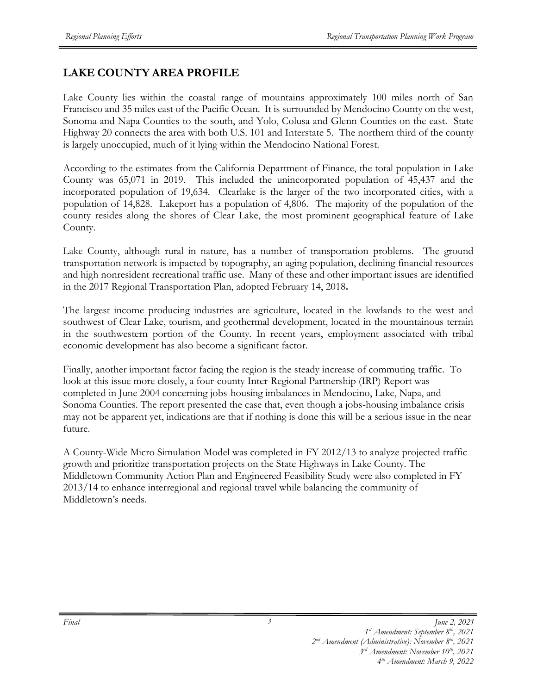# **LAKE COUNTY AREA PROFILE**

Lake County lies within the coastal range of mountains approximately 100 miles north of San Francisco and 35 miles east of the Pacific Ocean. It is surrounded by Mendocino County on the west, Sonoma and Napa Counties to the south, and Yolo, Colusa and Glenn Counties on the east. State Highway 20 connects the area with both U.S. 101 and Interstate 5. The northern third of the county is largely unoccupied, much of it lying within the Mendocino National Forest.

According to the estimates from the California Department of Finance, the total population in Lake County was 65,071 in 2019. This included the unincorporated population of 45,437 and the incorporated population of 19,634. Clearlake is the larger of the two incorporated cities, with a population of 14,828. Lakeport has a population of 4,806. The majority of the population of the county resides along the shores of Clear Lake, the most prominent geographical feature of Lake County.

Lake County, although rural in nature, has a number of transportation problems. The ground transportation network is impacted by topography, an aging population, declining financial resources and high nonresident recreational traffic use. Many of these and other important issues are identified in the 2017 Regional Transportation Plan, adopted February 14, 2018**.** 

The largest income producing industries are agriculture, located in the lowlands to the west and southwest of Clear Lake, tourism, and geothermal development, located in the mountainous terrain in the southwestern portion of the County. In recent years, employment associated with tribal economic development has also become a significant factor.

Finally, another important factor facing the region is the steady increase of commuting traffic. To look at this issue more closely, a four-county Inter-Regional Partnership (IRP) Report was completed in June 2004 concerning jobs-housing imbalances in Mendocino, Lake, Napa, and Sonoma Counties. The report presented the case that, even though a jobs-housing imbalance crisis may not be apparent yet, indications are that if nothing is done this will be a serious issue in the near future.

A County-Wide Micro Simulation Model was completed in FY 2012/13 to analyze projected traffic growth and prioritize transportation projects on the State Highways in Lake County. The Middletown Community Action Plan and Engineered Feasibility Study were also completed in FY 2013/14 to enhance interregional and regional travel while balancing the community of Middletown's needs.

*3 rd Amendment: November 10th, 2021 4 th Amendment: March 9, 2022* 

*<sup>1</sup> st Amendment: September 8th, 2021*

*<sup>2</sup> nd Amendment (Administrative): November 8 th, 2021*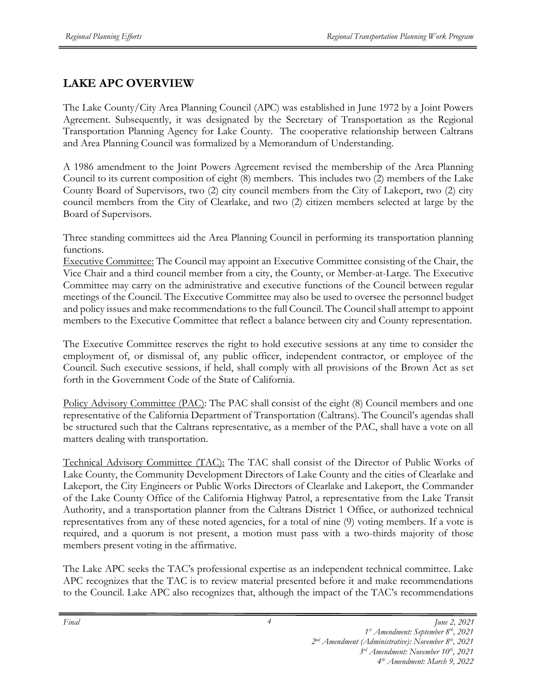# **LAKE APC OVERVIEW**

The Lake County/City Area Planning Council (APC) was established in June 1972 by a Joint Powers Agreement. Subsequently, it was designated by the Secretary of Transportation as the Regional Transportation Planning Agency for Lake County. The cooperative relationship between Caltrans and Area Planning Council was formalized by a Memorandum of Understanding.

A 1986 amendment to the Joint Powers Agreement revised the membership of the Area Planning Council to its current composition of eight (8) members. This includes two (2) members of the Lake County Board of Supervisors, two (2) city council members from the City of Lakeport, two (2) city council members from the City of Clearlake, and two (2) citizen members selected at large by the Board of Supervisors.

Three standing committees aid the Area Planning Council in performing its transportation planning functions.

Executive Committee: The Council may appoint an Executive Committee consisting of the Chair, the Vice Chair and a third council member from a city, the County, or Member-at-Large. The Executive Committee may carry on the administrative and executive functions of the Council between regular meetings of the Council. The Executive Committee may also be used to oversee the personnel budget and policy issues and make recommendations to the full Council. The Council shall attempt to appoint members to the Executive Committee that reflect a balance between city and County representation.

The Executive Committee reserves the right to hold executive sessions at any time to consider the employment of, or dismissal of, any public officer, independent contractor, or employee of the Council. Such executive sessions, if held, shall comply with all provisions of the Brown Act as set forth in the Government Code of the State of California.

Policy Advisory Committee (PAC): The PAC shall consist of the eight (8) Council members and one representative of the California Department of Transportation (Caltrans). The Council's agendas shall be structured such that the Caltrans representative, as a member of the PAC, shall have a vote on all matters dealing with transportation.

Technical Advisory Committee (TAC): The TAC shall consist of the Director of Public Works of Lake County, the Community Development Directors of Lake County and the cities of Clearlake and Lakeport, the City Engineers or Public Works Directors of Clearlake and Lakeport, the Commander of the Lake County Office of the California Highway Patrol, a representative from the Lake Transit Authority, and a transportation planner from the Caltrans District 1 Office, or authorized technical representatives from any of these noted agencies, for a total of nine (9) voting members. If a vote is required, and a quorum is not present, a motion must pass with a two-thirds majority of those members present voting in the affirmative.

The Lake APC seeks the TAC's professional expertise as an independent technical committee. Lake APC recognizes that the TAC is to review material presented before it and make recommendations to the Council. Lake APC also recognizes that, although the impact of the TAC's recommendations

*<sup>4</sup>*

*Final June 2, 2021 1 st Amendment: September 8th, 2021*

*<sup>2</sup> nd Amendment (Administrative): November 8 th, 2021* 

*<sup>3</sup> rd Amendment: November 10th, 2021*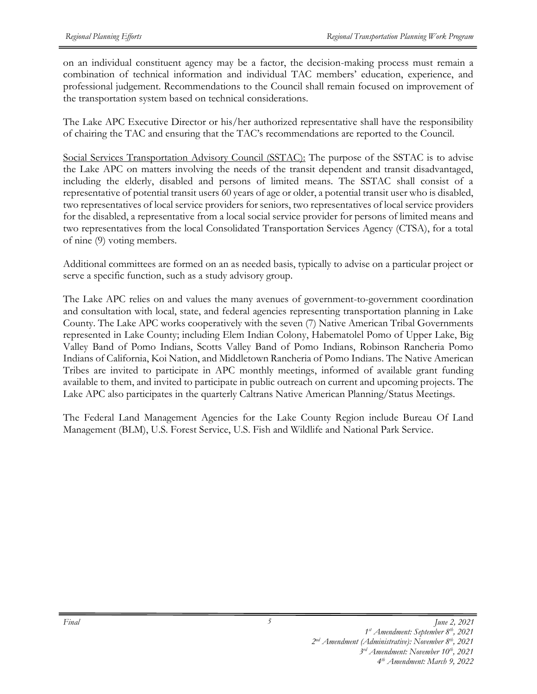on an individual constituent agency may be a factor, the decision-making process must remain a combination of technical information and individual TAC members' education, experience, and professional judgement. Recommendations to the Council shall remain focused on improvement of the transportation system based on technical considerations.

The Lake APC Executive Director or his/her authorized representative shall have the responsibility of chairing the TAC and ensuring that the TAC's recommendations are reported to the Council.

Social Services Transportation Advisory Council (SSTAC): The purpose of the SSTAC is to advise the Lake APC on matters involving the needs of the transit dependent and transit disadvantaged, including the elderly, disabled and persons of limited means. The SSTAC shall consist of a representative of potential transit users 60 years of age or older, a potential transit user who is disabled, two representatives of local service providers for seniors, two representatives of local service providers for the disabled, a representative from a local social service provider for persons of limited means and two representatives from the local Consolidated Transportation Services Agency (CTSA), for a total of nine (9) voting members.

Additional committees are formed on an as needed basis, typically to advise on a particular project or serve a specific function, such as a study advisory group.

The Lake APC relies on and values the many avenues of government-to-government coordination and consultation with local, state, and federal agencies representing transportation planning in Lake County. The Lake APC works cooperatively with the seven (7) Native American Tribal Governments represented in Lake County; including Elem Indian Colony, Habematolel Pomo of Upper Lake, Big Valley Band of Pomo Indians, Scotts Valley Band of Pomo Indians, Robinson Rancheria Pomo Indians of California, Koi Nation, and Middletown Rancheria of Pomo Indians. The Native American Tribes are invited to participate in APC monthly meetings, informed of available grant funding available to them, and invited to participate in public outreach on current and upcoming projects. The Lake APC also participates in the quarterly Caltrans Native American Planning/Status Meetings.

The Federal Land Management Agencies for the Lake County Region include Bureau Of Land Management (BLM), U.S. Forest Service, U.S. Fish and Wildlife and National Park Service.

*<sup>1</sup> st Amendment: September 8th, 2021*

*<sup>2</sup> nd Amendment (Administrative): November 8 th, 2021* 

*<sup>3</sup> rd Amendment: November 10th, 2021 4 th Amendment: March 9, 2022*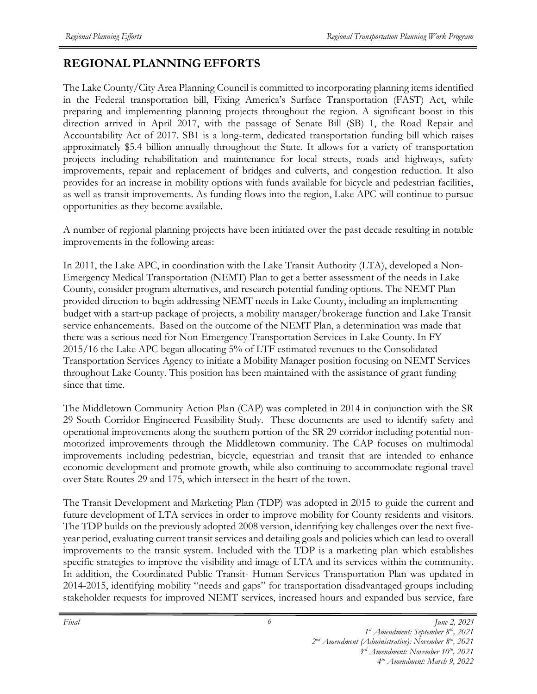# **REGIONAL PLANNING EFFORTS**

The Lake County/City Area Planning Council is committed to incorporating planning items identified in the Federal transportation bill, Fixing America's Surface Transportation (FAST) Act, while preparing and implementing planning projects throughout the region. A significant boost in this direction arrived in April 2017, with the passage of Senate Bill (SB) 1, the Road Repair and Accountability Act of 2017. SB1 is a long-term, dedicated transportation funding bill which raises approximately \$5.4 billion annually throughout the State. It allows for a variety of transportation projects including rehabilitation and maintenance for local streets, roads and highways, safety improvements, repair and replacement of bridges and culverts, and congestion reduction. It also provides for an increase in mobility options with funds available for bicycle and pedestrian facilities, as well as transit improvements. As funding flows into the region, Lake APC will continue to pursue opportunities as they become available.

A number of regional planning projects have been initiated over the past decade resulting in notable improvements in the following areas:

In 2011, the Lake APC, in coordination with the Lake Transit Authority (LTA), developed a Non-Emergency Medical Transportation (NEMT) Plan to get a better assessment of the needs in Lake County, consider program alternatives, and research potential funding options. The NEMT Plan provided direction to begin addressing NEMT needs in Lake County, including an implementing budget with a start‐up package of projects, a mobility manager/brokerage function and Lake Transit service enhancements. Based on the outcome of the NEMT Plan, a determination was made that there was a serious need for Non-Emergency Transportation Services in Lake County. In FY 2015/16 the Lake APC began allocating 5% of LTF estimated revenues to the Consolidated Transportation Services Agency to initiate a Mobility Manager position focusing on NEMT Services throughout Lake County. This position has been maintained with the assistance of grant funding since that time.

The Middletown Community Action Plan (CAP) was completed in 2014 in conjunction with the SR 29 South Corridor Engineered Feasibility Study. These documents are used to identify safety and operational improvements along the southern portion of the SR 29 corridor including potential nonmotorized improvements through the Middletown community. The CAP focuses on multimodal improvements including pedestrian, bicycle, equestrian and transit that are intended to enhance economic development and promote growth, while also continuing to accommodate regional travel over State Routes 29 and 175, which intersect in the heart of the town.

The Transit Development and Marketing Plan (TDP) was adopted in 2015 to guide the current and future development of LTA services in order to improve mobility for County residents and visitors. The TDP builds on the previously adopted 2008 version, identifying key challenges over the next fiveyear period, evaluating current transit services and detailing goals and policies which can lead to overall improvements to the transit system. Included with the TDP is a marketing plan which establishes specific strategies to improve the visibility and image of LTA and its services within the community. In addition, the Coordinated Public Transit- Human Services Transportation Plan was updated in 2014-2015, identifying mobility "needs and gaps" for transportation disadvantaged groups including stakeholder requests for improved NEMT services, increased hours and expanded bus service, fare

*Final June 2, 2021 1 st Amendment: September 8th, 2021*

*<sup>2</sup> nd Amendment (Administrative): November 8 th, 2021* 

*<sup>3</sup> rd Amendment: November 10th, 2021*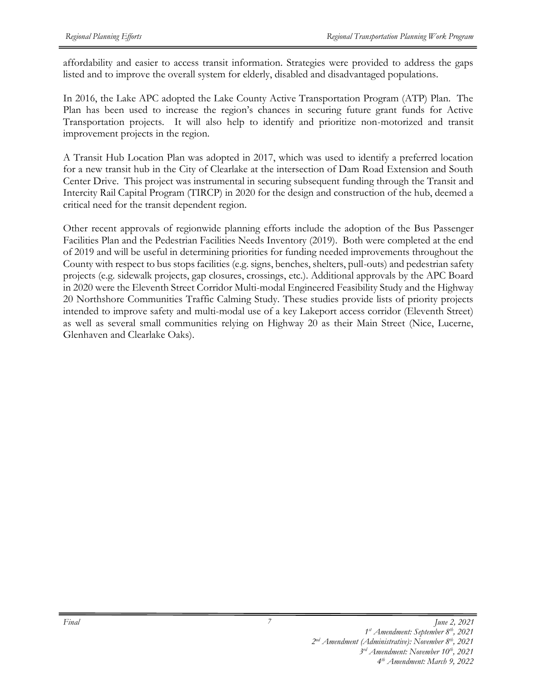affordability and easier to access transit information. Strategies were provided to address the gaps listed and to improve the overall system for elderly, disabled and disadvantaged populations.

In 2016, the Lake APC adopted the Lake County Active Transportation Program (ATP) Plan. The Plan has been used to increase the region's chances in securing future grant funds for Active Transportation projects. It will also help to identify and prioritize non-motorized and transit improvement projects in the region.

A Transit Hub Location Plan was adopted in 2017, which was used to identify a preferred location for a new transit hub in the City of Clearlake at the intersection of Dam Road Extension and South Center Drive. This project was instrumental in securing subsequent funding through the Transit and Intercity Rail Capital Program (TIRCP) in 2020 for the design and construction of the hub, deemed a critical need for the transit dependent region.

Other recent approvals of regionwide planning efforts include the adoption of the Bus Passenger Facilities Plan and the Pedestrian Facilities Needs Inventory (2019). Both were completed at the end of 2019 and will be useful in determining priorities for funding needed improvements throughout the County with respect to bus stops facilities (e.g. signs, benches, shelters, pull-outs) and pedestrian safety projects (e.g. sidewalk projects, gap closures, crossings, etc.). Additional approvals by the APC Board in 2020 were the Eleventh Street Corridor Multi-modal Engineered Feasibility Study and the Highway 20 Northshore Communities Traffic Calming Study. These studies provide lists of priority projects intended to improve safety and multi-modal use of a key Lakeport access corridor (Eleventh Street) as well as several small communities relying on Highway 20 as their Main Street (Nice, Lucerne, Glenhaven and Clearlake Oaks).

*Final June 2, 2021 1 st Amendment: September 8th, 2021*

*<sup>3</sup> rd Amendment: November 10th, 2021*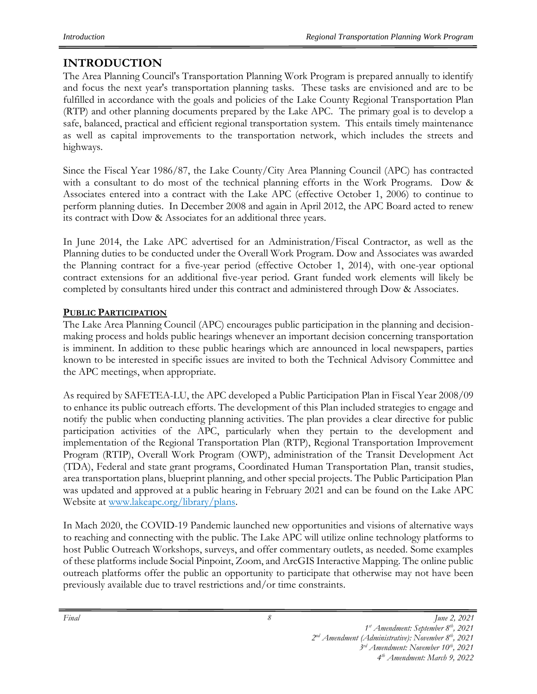# **INTRODUCTION**

The Area Planning Council's Transportation Planning Work Program is prepared annually to identify and focus the next year's transportation planning tasks. These tasks are envisioned and are to be fulfilled in accordance with the goals and policies of the Lake County Regional Transportation Plan (RTP) and other planning documents prepared by the Lake APC. The primary goal is to develop a safe, balanced, practical and efficient regional transportation system. This entails timely maintenance as well as capital improvements to the transportation network, which includes the streets and highways.

Since the Fiscal Year 1986/87, the Lake County/City Area Planning Council (APC) has contracted with a consultant to do most of the technical planning efforts in the Work Programs. Dow & Associates entered into a contract with the Lake APC (effective October 1, 2006) to continue to perform planning duties. In December 2008 and again in April 2012, the APC Board acted to renew its contract with Dow & Associates for an additional three years.

In June 2014, the Lake APC advertised for an Administration/Fiscal Contractor, as well as the Planning duties to be conducted under the Overall Work Program. Dow and Associates was awarded the Planning contract for a five-year period (effective October 1, 2014), with one-year optional contract extensions for an additional five-year period. Grant funded work elements will likely be completed by consultants hired under this contract and administered through Dow & Associates.

# **PUBLIC PARTICIPATION**

The Lake Area Planning Council (APC) encourages public participation in the planning and decisionmaking process and holds public hearings whenever an important decision concerning transportation is imminent. In addition to these public hearings which are announced in local newspapers, parties known to be interested in specific issues are invited to both the Technical Advisory Committee and the APC meetings, when appropriate.

As required by SAFETEA-LU, the APC developed a Public Participation Plan in Fiscal Year 2008/09 to enhance its public outreach efforts. The development of this Plan included strategies to engage and notify the public when conducting planning activities. The plan provides a clear directive for public participation activities of the APC, particularly when they pertain to the development and implementation of the Regional Transportation Plan (RTP), Regional Transportation Improvement Program (RTIP), Overall Work Program (OWP), administration of the Transit Development Act (TDA), Federal and state grant programs, Coordinated Human Transportation Plan, transit studies, area transportation plans, blueprint planning, and other special projects. The Public Participation Plan was updated and approved at a public hearing in February 2021 and can be found on the Lake APC Website at www.lakeapc.org/library/plans.

In Mach 2020, the COVID-19 Pandemic launched new opportunities and visions of alternative ways to reaching and connecting with the public. The Lake APC will utilize online technology platforms to host Public Outreach Workshops, surveys, and offer commentary outlets, as needed. Some examples of these platforms include Social Pinpoint, Zoom, and ArcGIS Interactive Mapping. The online public outreach platforms offer the public an opportunity to participate that otherwise may not have been previously available due to travel restrictions and/or time constraints.

*3 rd Amendment: November 10th, 2021 4 th Amendment: March 9, 2022* 

*<sup>1</sup> st Amendment: September 8th, 2021*

*<sup>2</sup> nd Amendment (Administrative): November 8 th, 2021*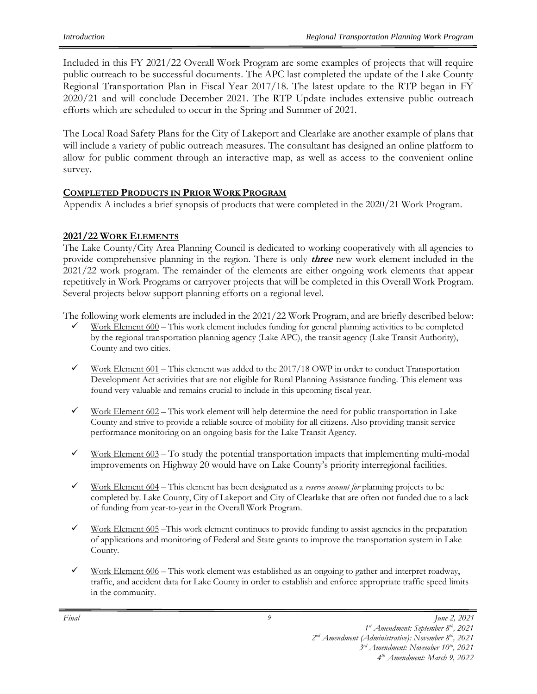Included in this FY 2021/22 Overall Work Program are some examples of projects that will require public outreach to be successful documents. The APC last completed the update of the Lake County Regional Transportation Plan in Fiscal Year 2017/18. The latest update to the RTP began in FY 2020/21 and will conclude December 2021. The RTP Update includes extensive public outreach efforts which are scheduled to occur in the Spring and Summer of 2021.

The Local Road Safety Plans for the City of Lakeport and Clearlake are another example of plans that will include a variety of public outreach measures. The consultant has designed an online platform to allow for public comment through an interactive map, as well as access to the convenient online survey.

#### **COMPLETED PRODUCTS IN PRIOR WORK PROGRAM**

Appendix A includes a brief synopsis of products that were completed in the 2020/21 Work Program.

#### **2021/22 WORK ELEMENTS**

The Lake County/City Area Planning Council is dedicated to working cooperatively with all agencies to provide comprehensive planning in the region. There is only **three** new work element included in the 2021/22 work program. The remainder of the elements are either ongoing work elements that appear repetitively in Work Programs or carryover projects that will be completed in this Overall Work Program. Several projects below support planning efforts on a regional level.

The following work elements are included in the 2021/22 Work Program, and are briefly described below:

- Work Element 600 This work element includes funding for general planning activities to be completed by the regional transportation planning agency (Lake APC), the transit agency (Lake Transit Authority), County and two cities.
- $\checkmark$  Work Element 601 This element was added to the 2017/18 OWP in order to conduct Transportation Development Act activities that are not eligible for Rural Planning Assistance funding. This element was found very valuable and remains crucial to include in this upcoming fiscal year.
- $\checkmark$  Work Element 602 This work element will help determine the need for public transportation in Lake County and strive to provide a reliable source of mobility for all citizens. Also providing transit service performance monitoring on an ongoing basis for the Lake Transit Agency.
- Work Element 603 To study the potential transportation impacts that implementing multi-modal improvements on Highway 20 would have on Lake County's priority interregional facilities.
- ✓ Work Element 604 This element has been designated as a *reserve account for* planning projects to be completed by. Lake County, City of Lakeport and City of Clearlake that are often not funded due to a lack of funding from year-to-year in the Overall Work Program.
- $\checkmark$  Work Element 605 This work element continues to provide funding to assist agencies in the preparation of applications and monitoring of Federal and State grants to improve the transportation system in Lake County.
- $\checkmark$  Work Element 606 This work element was established as an ongoing to gather and interpret roadway, traffic, and accident data for Lake County in order to establish and enforce appropriate traffic speed limits in the community.

*<sup>1</sup> st Amendment: September 8th, 2021 2 nd Amendment (Administrative): November 8 th, 2021* 

*<sup>3</sup> rd Amendment: November 10th, 2021*

*<sup>4</sup> th Amendment: March 9, 2022*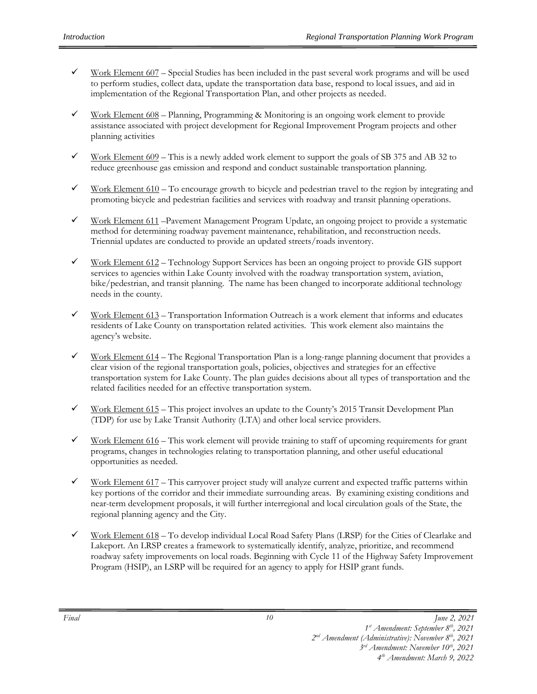- Work Element 607 Special Studies has been included in the past several work programs and will be used to perform studies, collect data, update the transportation data base, respond to local issues, and aid in implementation of the Regional Transportation Plan, and other projects as needed.
- $\checkmark$  Work Element 608 Planning, Programming & Monitoring is an ongoing work element to provide assistance associated with project development for Regional Improvement Program projects and other planning activities
- Work Element 609 This is a newly added work element to support the goals of SB 375 and AB 32 to reduce greenhouse gas emission and respond and conduct sustainable transportation planning.
- $\checkmark$  Work Element 610 To encourage growth to bicycle and pedestrian travel to the region by integrating and promoting bicycle and pedestrian facilities and services with roadway and transit planning operations.
- Work Element 611 –Pavement Management Program Update, an ongoing project to provide a systematic method for determining roadway pavement maintenance, rehabilitation, and reconstruction needs. Triennial updates are conducted to provide an updated streets/roads inventory.
- $\checkmark$  Work Element 612 Technology Support Services has been an ongoing project to provide GIS support services to agencies within Lake County involved with the roadway transportation system, aviation, bike/pedestrian, and transit planning. The name has been changed to incorporate additional technology needs in the county.
- Work Element 613 Transportation Information Outreach is a work element that informs and educates residents of Lake County on transportation related activities. This work element also maintains the agency's website.
- Work Element 614 The Regional Transportation Plan is a long-range planning document that provides a clear vision of the regional transportation goals, policies, objectives and strategies for an effective transportation system for Lake County. The plan guides decisions about all types of transportation and the related facilities needed for an effective transportation system.
- $\checkmark$  Work Element 615 This project involves an update to the County's 2015 Transit Development Plan (TDP) for use by Lake Transit Authority (LTA) and other local service providers.
- $\checkmark$  Work Element 616 This work element will provide training to staff of upcoming requirements for grant programs, changes in technologies relating to transportation planning, and other useful educational opportunities as needed.
- $\checkmark$  Work Element 617 This carryover project study will analyze current and expected traffic patterns within key portions of the corridor and their immediate surrounding areas. By examining existing conditions and near-term development proposals, it will further interregional and local circulation goals of the State, the regional planning agency and the City.
- Work Element 618 To develop individual Local Road Safety Plans (LRSP) for the Cities of Clearlake and Lakeport. An LRSP creates a framework to systematically identify, analyze, prioritize, and recommend roadway safety improvements on local roads. Beginning with Cycle 11 of the Highway Safety Improvement Program (HSIP), an LSRP will be required for an agency to apply for HSIP grant funds.

*<sup>1</sup> st Amendment: September 8th, 2021*

*<sup>2</sup> nd Amendment (Administrative): November 8 th, 2021* 

*<sup>3</sup> rd Amendment: November 10th, 2021*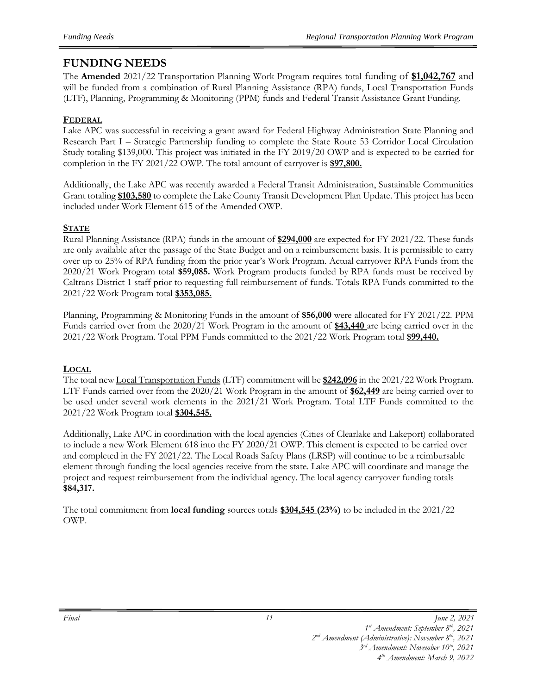# **FUNDING NEEDS**

The **Amended** 2021/22 Transportation Planning Work Program requires total funding of **\$1,042,767** and will be funded from a combination of Rural Planning Assistance (RPA) funds, Local Transportation Funds (LTF), Planning, Programming & Monitoring (PPM) funds and Federal Transit Assistance Grant Funding.

#### **FEDERAL**

Lake APC was successful in receiving a grant award for Federal Highway Administration State Planning and Research Part I – Strategic Partnership funding to complete the State Route 53 Corridor Local Circulation Study totaling \$139,000. This project was initiated in the FY 2019/20 OWP and is expected to be carried for completion in the FY 2021/22 OWP. The total amount of carryover is **\$97,800.**

Additionally, the Lake APC was recently awarded a Federal Transit Administration, Sustainable Communities Grant totaling **\$103,580** to complete the Lake County Transit Development Plan Update. This project has been included under Work Element 615 of the Amended OWP.

#### **STATE**

Rural Planning Assistance (RPA) funds in the amount of **\$294,000** are expected for FY 2021/22. These funds are only available after the passage of the State Budget and on a reimbursement basis. It is permissible to carry over up to 25% of RPA funding from the prior year's Work Program. Actual carryover RPA Funds from the 2020/21 Work Program total **\$59,085.** Work Program products funded by RPA funds must be received by Caltrans District 1 staff prior to requesting full reimbursement of funds. Totals RPA Funds committed to the 2021/22 Work Program total **\$353,085.**

Planning, Programming & Monitoring Funds in the amount of **\$56,000** were allocated for FY 2021/22. PPM Funds carried over from the 2020/21 Work Program in the amount of **\$43,440** are being carried over in the 2021/22 Work Program. Total PPM Funds committed to the 2021/22 Work Program total **\$99,440.**

#### **LOCAL**

The total new Local Transportation Funds (LTF) commitment will be **\$242,096** in the 2021/22 Work Program. LTF Funds carried over from the 2020/21 Work Program in the amount of **\$62,449** are being carried over to be used under several work elements in the 2021/21 Work Program. Total LTF Funds committed to the 2021/22 Work Program total **\$304,545.**

Additionally, Lake APC in coordination with the local agencies (Cities of Clearlake and Lakeport) collaborated to include a new Work Element 618 into the FY 2020/21 OWP. This element is expected to be carried over and completed in the FY 2021/22. The Local Roads Safety Plans (LRSP) will continue to be a reimbursable element through funding the local agencies receive from the state. Lake APC will coordinate and manage the project and request reimbursement from the individual agency. The local agency carryover funding totals **\$84,317.**

The total commitment from **local funding** sources totals **\$304,545 (23%)** to be included in the 2021/22 OWP.

*2 nd Amendment (Administrative): November 8 th, 2021* 

*<sup>1</sup> st Amendment: September 8th, 2021*

*<sup>3</sup> rd Amendment: November 10th, 2021*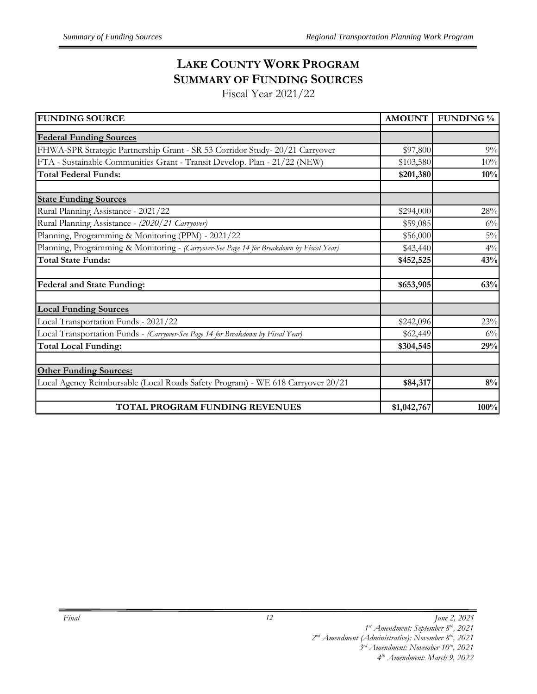# **LAKE COUNTY WORK PROGRAM SUMMARY OF FUNDING SOURCES**

Fiscal Year 2021/22

| <b>FUNDING SOURCE</b>                                                                     | <b>AMOUNT</b> | <b>FUNDING</b> % |
|-------------------------------------------------------------------------------------------|---------------|------------------|
| <b>Federal Funding Sources</b>                                                            |               |                  |
| FHWA-SPR Strategic Partnership Grant - SR 53 Corridor Study- 20/21 Carryover              | \$97,800      | 9%               |
|                                                                                           |               |                  |
| FTA - Sustainable Communities Grant - Transit Develop. Plan - 21/22 (NEW)                 | \$103,580     | 10%              |
| <b>Total Federal Funds:</b>                                                               | \$201,380     | 10%              |
| <b>State Funding Sources</b>                                                              |               |                  |
| Rural Planning Assistance - 2021/22                                                       | \$294,000     | 28%              |
| Rural Planning Assistance - (2020/21 Carryover)                                           | \$59,085      | $6\%$            |
| Planning, Programming & Monitoring (PPM) - 2021/22                                        | \$56,000      | $5\%$            |
| Planning, Programming & Monitoring - (Carryover-See Page 14 for Breakdown by Fiscal Year) | \$43,440      | $4\%$            |
| <b>Total State Funds:</b>                                                                 | \$452,525     | 43%              |
| <b>Federal and State Funding:</b>                                                         | \$653,905     | 63%              |
| <b>Local Funding Sources</b>                                                              |               |                  |
| Local Transportation Funds - 2021/22                                                      | \$242,096     | 23%              |
| Local Transportation Funds - (Carryover-See Page 14 for Breakdown by Fiscal Year)         | \$62,449      | $6\%$            |
| <b>Total Local Funding:</b>                                                               | \$304,545     | 29%              |
| <b>Other Funding Sources:</b>                                                             |               |                  |
| Local Agency Reimbursable (Local Roads Safety Program) - WE 618 Carryover 20/21           | \$84,317      | $8\%$            |
|                                                                                           |               |                  |
| TOTAL PROGRAM FUNDING REVENUES                                                            | \$1,042,767   | 100%             |

*<sup>1</sup> st Amendment: September 8th, 2021*

*<sup>2</sup> nd Amendment (Administrative): November 8 th, 2021* 

*<sup>3</sup> rd Amendment: November 10th, 2021*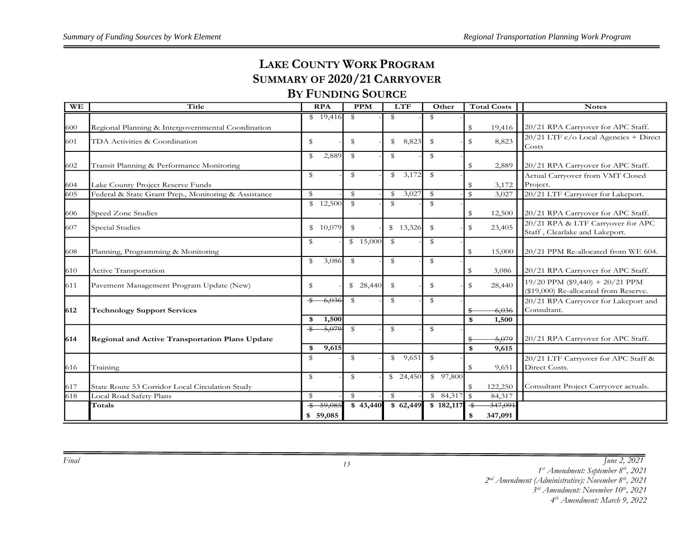# **LAKE COUNTY WORK PROGRAM SUMMARY OF 2020/21 CARRYOVER**

# **BY FUNDING SOURCE**

| <b>WE</b> | Title                                                | <b>RPA</b>                | <b>PPM</b>           | <b>LTF</b>           | Other        | <b>Total Costs</b>                 | <b>Notes</b>                                                               |
|-----------|------------------------------------------------------|---------------------------|----------------------|----------------------|--------------|------------------------------------|----------------------------------------------------------------------------|
|           |                                                      | \$19,416                  | $\mathbb S$          | \$                   | \$           |                                    |                                                                            |
| 600       | Regional Planning & Intergovernmental Coordination   |                           |                      |                      |              | \$<br>19,416                       | 20/21 RPA Carryover for APC Staff.                                         |
| 601       | TDA Activities & Coordination                        | $\mathbbmss{S}$           | \$                   | $\mathbb S$<br>8,823 | \$           | 8,823<br>\$                        | $20/21$ LTF $c/o$ Local Agencies + Direct<br>Costs                         |
|           |                                                      | \$<br>2,889               | \$                   | \$                   | \$           |                                    |                                                                            |
| 602       | Transit Planning & Performance Monitoring            |                           |                      |                      |              | 2,889<br>\$                        | 20/21 RPA Carryover for APC Staff.                                         |
|           |                                                      | \$                        | \$                   | 3,172<br>$^{\circ}$  | - \$         |                                    | Actual Carryover from VMT Closed                                           |
| 604       | Lake County Project Reserve Funds                    |                           |                      |                      |              | 3,172<br>\$                        | Project.                                                                   |
| 605       | Federal & State Grant Prep., Monitoring & Assistance | \$                        | $\mathbb S$          | 3,027<br>\$          | $\mathbb{S}$ | ${\mathbb S}$<br>3,027             | 20/21 LTF Carryover for Lakeport.                                          |
|           | Speed Zone Studies                                   | $\frac{12,500}{2}$        | $\mathbb{S}$         | $\mathbb{S}$         | $\mathbb{S}$ | 12,500                             | 20/21 RPA Carryover for APC Staff.                                         |
| 606       |                                                      |                           |                      |                      |              | \$                                 |                                                                            |
| 607       | Special Studies                                      | \$10,079                  | $\mathbb S$          | \$13,326             | $\mathbb{S}$ | \$<br>23,405                       | 20/21 RPA & LTF Carryover for APC<br>Staff, Clearlake and Lakeport.        |
|           |                                                      | \$                        | $\frac{1}{2}$ 15,000 | $\mathbb{S}$         | \$           |                                    |                                                                            |
| 608       | Planning, Programming & Monitoring                   |                           |                      |                      |              | \$<br>15,000                       | 20/21 PPM Re-allocated from WE 604.                                        |
|           |                                                      | 3,086<br>\$               | \$                   | \$                   | \$           |                                    |                                                                            |
| 610       | Active Transportation                                |                           |                      |                      |              | \$<br>3,086                        | 20/21 RPA Carryover for APC Staff.                                         |
| 611       | Pavement Management Program Update (New)             | \$                        | \$28,440             | \$                   | \$           | \$<br>28,440                       | $19/20$ PPM (\$9,440) + 20/21 PPM<br>(\$19,000) Re-allocated from Reserve. |
|           |                                                      | $-\$<br>$-6,036$          | \$                   | \$                   | $\mathbb{S}$ |                                    | 20/21 RPA Carryover for Lakeport and                                       |
| 1612      | <b>Technology Support Services</b>                   |                           |                      |                      |              | 6,036<br>\$                        | Consultant.                                                                |
|           |                                                      | 1,500<br>\$               |                      |                      |              | \$<br>1,500                        |                                                                            |
|           |                                                      | $-5,079$<br>$\frac{1}{2}$ | $\mathbb S$          | \$                   | $\mathbb{S}$ |                                    |                                                                            |
| 614       | Regional and Active Transportation Plans Update      |                           |                      |                      |              | 5,079<br>\$                        | 20/21 RPA Carryover for APC Staff.                                         |
|           |                                                      | 9,615<br>\$               |                      |                      |              | \$<br>9,615                        |                                                                            |
|           |                                                      | \$                        | \$                   | \$9,651              | $\mathbb{S}$ |                                    | 20/21 LTF Carryover for APC Staff &                                        |
| 616       | Training                                             |                           |                      |                      |              | $\mathbb S$<br>9,651               | Direct Costs.                                                              |
|           |                                                      | $\mathbbmss{S}$           | \$                   | \$24,450             | \$97,800     |                                    |                                                                            |
| 617       | State Route 53 Corridor Local Circulation Study      |                           |                      |                      |              | 122,250<br>\$                      | Consultant Project Carryover actuals.                                      |
| 618       | Local Road Safety Plans                              | $\mathbb S$               | $\mathbb S$          | \$                   |              | 84,317                             |                                                                            |
|           | Totals                                               | $$ -59,085$               | \$43,440             | \$62,449             | \$182,117    | 347,091<br>$\overline{\mathbf{3}}$ |                                                                            |
|           |                                                      | \$59,085                  |                      |                      |              | 347,091<br>\$                      |                                                                            |

*Final June 2, 2021*

*1 st Amendment: September 8th, 2021*

*2 nd Amendment (Administrative): November 8th, 2021* 

*3 rd Amendment: November 10th, 2021*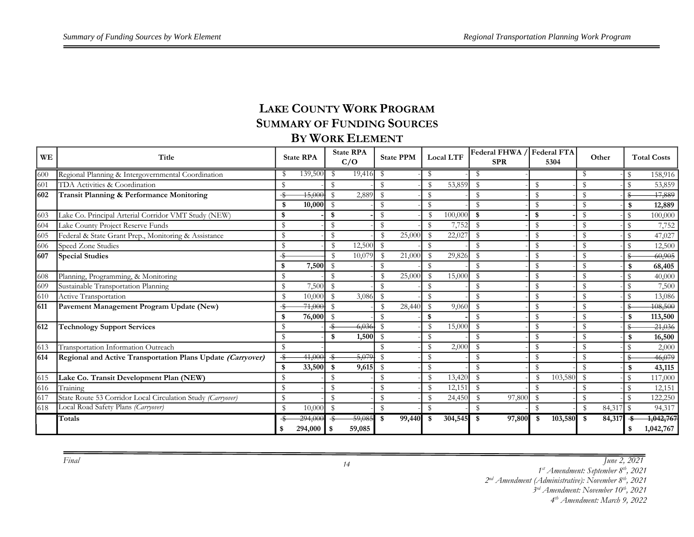# **LAKE COUNTY WORK PROGRAM SUMMARY OF FUNDING SOURCES BY WORK ELEMENT**

| WE  | Title                                                       |              | <b>State RPA</b> |               | <b>State RPA</b><br>C/O |               | <b>State PPM</b> |                        | <b>Local LTF</b> | Federal FHWA /<br><b>SPR</b> |               | <b>Federal FTA</b><br>5304 |                        | Other     |               | <b>Total Costs</b> |
|-----|-------------------------------------------------------------|--------------|------------------|---------------|-------------------------|---------------|------------------|------------------------|------------------|------------------------------|---------------|----------------------------|------------------------|-----------|---------------|--------------------|
| 600 | Regional Planning & Intergovernmental Coordination          |              | 139,500          | S             | 19,416                  | - \$          |                  |                        |                  |                              |               |                            |                        |           | $\mathbb{S}$  | 158,916            |
| 601 | TDA Activities & Coordination                               |              |                  | S             |                         | $\mathbb{S}$  |                  |                        | 53,859           | S                            | \$            |                            | S                      |           | ፍ             | 53,859             |
| 602 | Transit Planning & Performance Monitoring                   | \$           | 45,000           | $\mathcal{S}$ | 2,889                   | - \$          |                  | S                      |                  |                              | \$            |                            | S                      |           |               | 17,889             |
|     |                                                             |              | 10,000           | - \$          |                         | $\mathcal{F}$ |                  |                        |                  |                              | $\mathbb S$   |                            | $\mathbf{\mathcal{S}}$ |           | \$            | 12,889             |
| 603 | Lake Co. Principal Arterial Corridor VMT Study (NEW)        | \$           |                  | \$            |                         | $\mathbb{S}$  |                  |                        | 100,000          | \$                           | \$            |                            | S                      |           | $\mathbb{S}$  | 100,000            |
| 604 | Lake County Project Reserve Funds                           | S            |                  | \$            |                         | S             |                  | -S                     | 7,752            | S                            | \$            |                            | S                      |           | \$            | 7,752              |
| 605 | Federal & State Grant Prep., Monitoring & Assistance        | \$           |                  | $\mathbb{S}$  |                         | $\mathbf{\$}$ | 25,000           |                        | 22,027           | S                            | \$            |                            | $\mathbb{S}$           |           | $\mathcal{F}$ | 47,027             |
| 606 | Speed Zone Studies                                          | $\mathbf S$  |                  | $\mathcal{S}$ | 12,500                  | - \$          |                  | ፍ                      |                  |                              | \$            |                            | $\mathbb{S}$           |           | \$            | 12,500             |
| 607 | <b>Special Studies</b>                                      |              |                  | $\mathcal{F}$ | 10,079                  | - \$          | 21,000           |                        | 29,826           | S                            | ${\mathbb S}$ |                            | \$                     |           |               | 60,905             |
|     |                                                             |              | 7,500            | $\mathbb S$   |                         | $\mathbb S$   |                  | ፍ                      |                  | $\mathbf S$                  | \$            |                            | S                      |           | \$            | 68,405             |
| 608 | Planning, Programming, & Monitoring                         | \$           |                  |               |                         | $\mathcal{S}$ | 25,000           |                        | 15,000           | $\mathbf S$                  | $\mathbb S$   |                            | $\mathbb{S}$           |           | $\mathcal{F}$ | 40,000             |
| 609 | Sustainable Transportation Planning                         | S            | 7,500            | \$            |                         | $\mathbb{S}$  |                  |                        |                  |                              | \$            |                            | S                      |           | $\mathcal{L}$ | 7,500              |
| 610 | Active Transportation                                       | \$           | 10,000           | $\mathcal{F}$ | 3,086                   | $\mathbb S$   |                  | S                      |                  | $\mathbf S$                  | \$            |                            | $\mathbb{S}$           |           | ፍ             | 13,086             |
| 611 | Pavement Management Program Update (New)                    |              | 71,000           | $\mathcal{S}$ |                         | $\mathcal{S}$ | 28,440           | $\mathbf{\mathcal{S}}$ | 9,060            | S                            | $\mathbb S$   |                            | $\mathbf{\mathcal{S}}$ |           |               | <del>108,500</del> |
|     |                                                             |              | 76,000           | - \$          |                         | S             |                  | \$                     |                  | $\mathbf S$                  | \$            |                            | S                      |           | \$            | 113,500            |
| 612 | <b>Technology Support Services</b>                          |              |                  | -\$           | 6,036                   | $\mathbb{S}$  |                  |                        | 15,000           | S                            | \$            |                            | S                      |           |               | $-21,036$          |
|     |                                                             |              |                  | \$            | 1,500                   | $\mathbb{S}$  |                  | S                      |                  | ፍ                            | ${\mathbb S}$ |                            | $\mathbb{S}$           |           | \$            | 16,500             |
| 613 | Transportation Information Outreach                         | \$           |                  |               |                         | ፍ             |                  | ፍ                      | 2,000            | $\mathbf S$                  | \$            |                            | $\mathbb{S}$           |           |               | 2,000              |
| 614 | Regional and Active Transportation Plans Update (Carryover) | -S           | 41,000           | $\frac{1}{2}$ | 5,079                   | $\mathcal{S}$ |                  | S                      |                  |                              | \$            |                            | $\mathbb{S}$           |           |               | 46,079             |
|     |                                                             | £.           | 33,500           | \$            | 9,615                   | - \$          |                  | S                      |                  | $\mathcal{L}$                | \$            |                            | $\mathbf{\mathcal{S}}$ |           |               | 43,115             |
| 615 | Lake Co. Transit Development Plan (NEW)                     | S            |                  | \$            |                         | S             |                  |                        | 13,420           | S                            | $\mathcal{S}$ | 103,580                    | S                      |           | $\mathbb S$   | 117,000            |
| 616 | Training                                                    | \$           |                  | \$            |                         | $\mathbb S$   |                  |                        | 12,151           | S                            | \$            |                            | S                      |           | $\mathcal{F}$ | 12,151             |
| 617 | State Route 53 Corridor Local Circulation Study (Carryover) | $\mathbb{S}$ |                  | $\mathbb{S}$  |                         | $\mathcal{S}$ |                  |                        | 24,450           | $\mathbf{\$}$<br>97,800      | $\mathbb S$   |                            | $\mathbb{S}$           |           |               | 122,250            |
| 618 | Local Road Safety Plans (Carryover)                         | $\mathbf S$  | 10,000           | \$            |                         | \$            |                  |                        |                  | $\mathbf S$                  | $\mathbb S$   |                            | $\mathbb S$            | 84,317 \$ |               | 94,317             |
|     | Totals                                                      |              | 294,000          |               | 59,085                  | \$            | 99,440           | \$                     | 304,545          | 97,800<br>-\$                | \$            | 103,580                    | -\$                    | 84,317    |               | 1,042,767          |
|     |                                                             | \$.          | 294,000          | - \$          | 59,085                  |               |                  |                        |                  |                              |               |                            |                        |           | \$            | 1,042,767          |

*Final June 2, 2021*

*st Amendment: September 8th, 2021*

*nd Amendment (Administrative): November 8th, 2021* 

*rd Amendment: November 10th, 2021*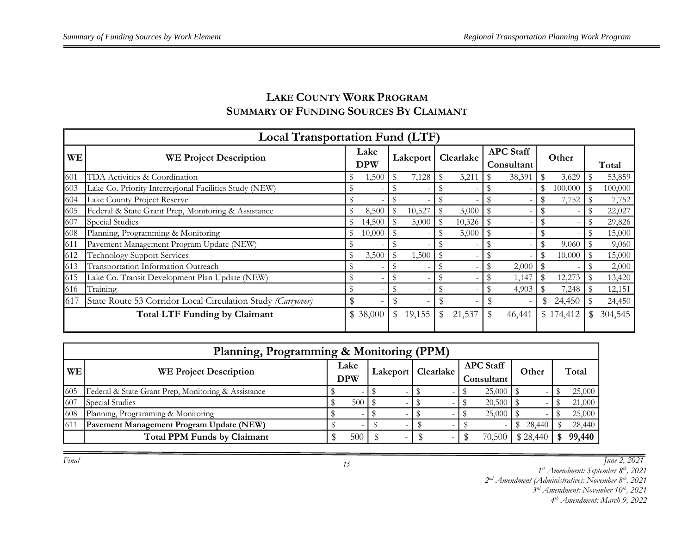# **LAKE COUNTY WORK PROGRAM SUMMARY OF FUNDING SOURCES BY CLAIMANT**

|           | Local Transportation Fund (LTF)                             |                    |      |          |              |           |                                |             |           |  |         |
|-----------|-------------------------------------------------------------|--------------------|------|----------|--------------|-----------|--------------------------------|-------------|-----------|--|---------|
| <b>WE</b> | <b>WE Project Description</b>                               | Lake<br><b>DPW</b> |      | Lakeport |              | Clearlake | <b>APC Staff</b><br>Consultant |             | Other     |  | Total   |
| 601       | TDA Activities & Coordination                               | 1,500              | - \$ | 7,128    | \$           | 3,211     | 38,391                         | $\mathbb S$ | 3,629     |  | 53,859  |
| 603       | Lake Co. Priority Interregional Facilities Study (NEW)      |                    |      |          |              |           |                                | \$          | 100,000   |  | 100,000 |
| 604       | Lake County Project Reserve                                 |                    |      |          |              |           |                                | \$          | 7,752     |  | 7,752   |
| 605       | Federal & State Grant Prep, Monitoring & Assistance         | 8,500              | \$   | 10,527   | $\mathbb{S}$ | 3,000     | \$                             |             |           |  | 22,027  |
| 607       | Special Studies                                             | 14,500             |      | 5,000    | \$           | 10,326    |                                |             |           |  | 29,826  |
| 608       | Planning, Programming & Monitoring                          | \$<br>10,000       | - \$ |          |              | 5,000     |                                |             |           |  | 15,000  |
| 611       | Pavement Management Program Update (NEW)                    |                    |      |          |              |           |                                |             | 9,060     |  | 9,060   |
| 612       | <b>Technology Support Services</b>                          | 3,500              | - \$ | 1,500    | - \$         |           |                                |             | 10,000    |  | 15,000  |
| 613       | Transportation Information Outreach                         |                    |      |          |              |           | 2,000                          |             |           |  | 2,000   |
| 615       | Lake Co. Transit Development Plan Update (NEW)              |                    |      |          |              |           | 1,147                          |             | 12,273    |  | 13,420  |
| 616       | Training                                                    |                    |      |          |              |           | \$<br>4,903                    |             | 7,248     |  | 12,151  |
| 617       | State Route 53 Corridor Local Circulation Study (Carryover) |                    |      |          |              |           |                                | \$.         | 24,450    |  | 24,450  |
|           | <b>Total LTF Funding by Claimant</b>                        | \$38,000           | \$   | 19,155   | \$           | 21,537    | 46,441                         |             | \$174,412 |  | 304,545 |

| Planning, Programming & Monitoring (PPM) |                                                     |  |            |  |  |                      |            |                  |  |        |  |        |  |
|------------------------------------------|-----------------------------------------------------|--|------------|--|--|----------------------|------------|------------------|--|--------|--|--------|--|
| <b>WE</b>                                | <b>WE Project Description</b>                       |  | Lake       |  |  | Lakeport   Clearlake |            | <b>APC</b> Staff |  | Other  |  | Total  |  |
|                                          |                                                     |  | <b>DPW</b> |  |  |                      | Consultant |                  |  |        |  |        |  |
| 605                                      | Federal & State Grant Prep, Monitoring & Assistance |  |            |  |  |                      |            |                  |  |        |  | 25,000 |  |
| 607                                      | Special Studies                                     |  | 500        |  |  |                      |            |                  |  |        |  | 21,000 |  |
| 608                                      | Planning, Programming & Monitoring                  |  |            |  |  |                      |            |                  |  |        |  | 25,000 |  |
| 611                                      | Pavement Management Program Update (NEW)            |  |            |  |  |                      |            |                  |  | 28,440 |  | 28,440 |  |
|                                          | <b>Total PPM Funds by Claimant</b>                  |  | 500        |  |  |                      |            | 70,500 \$28,440  |  |        |  | 99,440 |  |

*Final June 2, 2021*

*1 st Amendment: September 8th, 2021*

*2 nd Amendment (Administrative): November 8th, 2021* 

*3 rd Amendment: November 10th, 2021*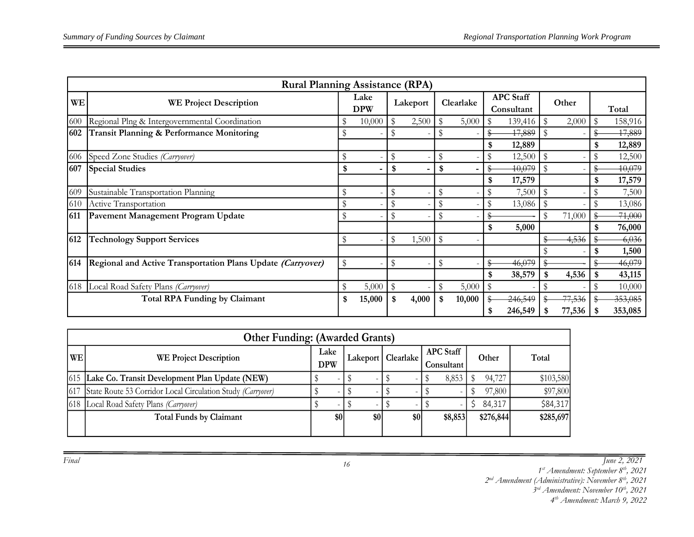|     | <b>Rural Planning Assistance (RPA)</b>                      |    |                          |                         |                          |    |           |    |                                |              |        |              |         |  |       |
|-----|-------------------------------------------------------------|----|--------------------------|-------------------------|--------------------------|----|-----------|----|--------------------------------|--------------|--------|--------------|---------|--|-------|
| WE  | <b>WE Project Description</b>                               |    | Lake<br><b>DPW</b>       |                         | Lakeport                 |    | Clearlake |    | <b>APC</b> Staff<br>Consultant |              | Other  |              |         |  | Total |
| 600 | Regional Plng & Intergovernmental Coordination              | \$ | 10,000                   | \$                      | 2,500                    | S  | 5,000     |    | 139,416                        | $\mathbb{S}$ | 2,000  | $\mathbb{S}$ | 158,916 |  |       |
| 602 | Transit Planning & Performance Monitoring                   |    |                          | \$                      |                          | \$ |           |    | 47,889                         |              |        | \$           | 47,889  |  |       |
|     |                                                             |    |                          |                         |                          |    |           | \$ | 12,889                         |              |        | \$           | 12,889  |  |       |
| 606 | Speed Zone Studies (Carryover)                              | \$ |                          | \$                      |                          | S  |           |    | 12,500                         | \$           |        | $\mathbf S$  | 12,500  |  |       |
| 607 | <b>Special Studies</b>                                      | \$ | $\overline{\phantom{0}}$ | \$                      | $\overline{\phantom{0}}$ | \$ |           | Я  | 10,079                         |              |        | S            | 10,079  |  |       |
|     |                                                             |    |                          |                         |                          |    |           | \$ | 17,579                         |              |        | \$           | 17,579  |  |       |
| 609 | Sustainable Transportation Planning                         | \$ |                          | \$                      |                          | \$ |           | D  | 7,500                          | \$           |        | S            | 7,500   |  |       |
| 610 | Active Transportation                                       | \$ |                          | $\mathbb{S}$            |                          |    |           |    | 13,086                         |              |        |              | 13,086  |  |       |
| 611 | Pavement Management Program Update                          | \$ |                          | \$                      |                          | \$ |           |    |                                |              | 71,000 |              | 71,000  |  |       |
|     |                                                             |    |                          |                         |                          |    |           | \$ | 5,000                          |              |        |              | 76,000  |  |       |
| 612 | <b>Technology Support Services</b>                          | \$ |                          | $\sqrt[6]{\frac{1}{2}}$ | 1,500                    | \$ |           |    |                                |              | 4,536  | \$           | 6,036   |  |       |
|     |                                                             |    |                          |                         |                          |    |           |    |                                |              |        |              | 1,500   |  |       |
| 614 | Regional and Active Transportation Plans Update (Carryover) | \$ |                          | \$                      |                          | \$ |           |    | 46,079                         |              |        |              | 46,079  |  |       |
|     |                                                             |    |                          |                         |                          |    |           | \$ | 38,579                         | \$           | 4,536  |              | 43,115  |  |       |
| 618 | Local Road Safety Plans (Carryover)                         | \$ | 5,000                    | $\sqrt[6]{\frac{1}{2}}$ |                          | \$ | 5,000     | \$ |                                |              |        |              | 10,000  |  |       |
|     | <b>Total RPA Funding by Claimant</b>                        | \$ | 15,000                   | \$                      | 4,000                    | \$ | 10,000    |    | 246,549                        |              | 77,536 |              | 353,085 |  |       |
|     |                                                             |    |                          |                         |                          |    |           |    | 246,549                        |              | 77,536 |              | 353,085 |  |       |

|     | <b>Other Funding: (Awarded Grants)</b>                      |                    |     |     |                    |  |                                |  |           |           |  |  |  |  |
|-----|-------------------------------------------------------------|--------------------|-----|-----|--------------------|--|--------------------------------|--|-----------|-----------|--|--|--|--|
| WE  | <b>WE Project Description</b>                               | Lake<br><b>DPW</b> |     |     | Lakeport Clearlake |  | <b>APC</b> Staff<br>Consultant |  | Other     | Total     |  |  |  |  |
|     | [615] Lake Co. Transit Development Plan Update (NEW)        |                    |     |     |                    |  | 8,853                          |  | 94,727    | \$103,580 |  |  |  |  |
| 617 | State Route 53 Corridor Local Circulation Study (Carryover) |                    |     |     |                    |  |                                |  | 97,800    | \$97,800  |  |  |  |  |
|     | [618] Local Road Safety Plans (Carryover)                   |                    |     |     |                    |  |                                |  | 84,317    | \$84,317  |  |  |  |  |
|     | <b>Total Funds by Claimant</b>                              |                    | \$0 | \$0 | \$0                |  | \$8,853                        |  | \$276,844 | \$285,697 |  |  |  |  |
|     |                                                             |                    |     |     |                    |  |                                |  |           |           |  |  |  |  |

*16*

*Final June 2, 2021*

*1 st Amendment: September 8th, 2021*

*2 nd Amendment (Administrative): November 8th, 2021* 

*3 rd Amendment: November 10th, 2021*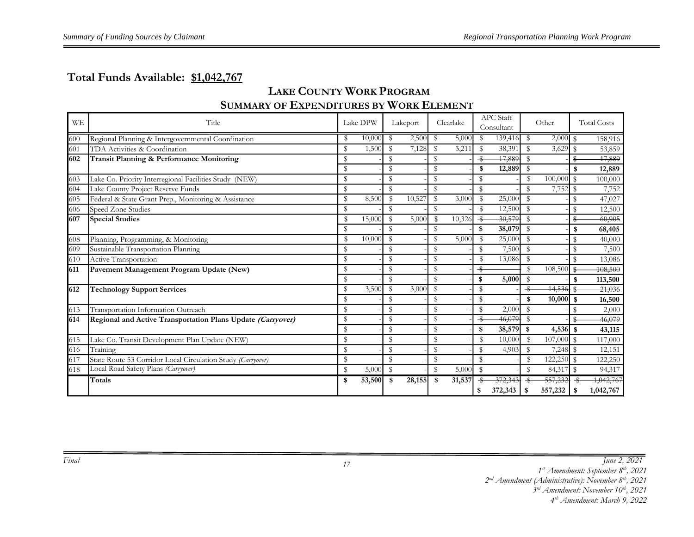# **Total Funds Available: \$1,042,767**

# **LAKE COUNTY WORK PROGRAM SUMMARY OF EXPENDITURES BY WORK ELEMENT**

| <b>WE</b> | Title                                                       |               | Lake DPW |               | Lakeport | Clearlake          |                    | <b>APC</b> Staff<br>Consultant |               | Other        |               | <b>Total Costs</b> |
|-----------|-------------------------------------------------------------|---------------|----------|---------------|----------|--------------------|--------------------|--------------------------------|---------------|--------------|---------------|--------------------|
| 600       | Regional Planning & Intergovernmental Coordination          | S             | 10,000   | -S            | 2,500    | - \$<br>5,000      | S                  | 139,416                        | S             | $2,000$ \$   |               | 158,916            |
| 601       | TDA Activities & Coordination                               | S             | 1,500    | S             | 7,128    | S<br>3,211         | S                  | 38,391                         | S             | 3,629        | $\mathcal{S}$ | 53,859             |
| 602       | Transit Planning & Performance Monitoring                   | S             |          | \$            |          | S                  | $\overline{\cdot}$ | 17,889                         |               |              | S             | 17,889             |
|           |                                                             | $\mathcal{S}$ |          | \$            |          | S                  | \$                 | 12,889                         | $\mathbf{S}$  |              | \$            | 12,889             |
| 603       | Lake Co. Priority Interregional Facilities Study (NEW)      | \$            |          | \$            |          | S                  | S                  |                                | \$            | 100,000      | $\mathbb S$   | 100,000            |
| 604       | Lake County Project Reserve Funds                           | $\mathcal{S}$ |          | \$            |          | S                  | $\mathbb{S}$       |                                | $\mathbf{S}$  | 7,752 \$     |               | 7,752              |
| 605       | Federal & State Grant Prep., Monitoring & Assistance        | \$            | 8,500    | -S            | 10,527   | \$<br>3,000        | \$                 | 25,000                         | $\mathbb S$   |              | \$            | 47,027             |
| 606       | Speed Zone Studies                                          | S             |          | S             |          | S                  | \$                 | 12,500                         | $\mathbf{S}$  |              | $\mathbf S$   | 12,500             |
| 607       | <b>Special Studies</b>                                      | \$            | 15,000   | $\mathbb{S}$  | 5,000    | 10,326<br><b>S</b> | $\overline{\cdot}$ | 30,579                         |               |              |               | 60,905             |
|           |                                                             | \$            |          | S             |          | S                  | \$                 | 38,079                         | \$            |              | \$            | 68,405             |
| 608       | Planning, Programming, & Monitoring                         | $\mathbb{S}$  | 10,000   | $\mathbb S$   |          | S<br>5,000         | \$                 | 25,000                         | $\mathbf{S}$  |              | \$            | 40,000             |
| 609       | Sustainable Transportation Planning                         | S             |          | S             |          | S                  | \$                 | 7,500                          | $\mathbf{\$}$ |              | $\mathbf S$   | 7,500              |
| 610       | Active Transportation                                       | \$            |          | \$            |          | \$                 | \$                 | 13,086                         | S             |              | \$            | 13,086             |
| 611       | Pavement Management Program Update (New)                    | $\mathbf S$   |          | ${\mathbb S}$ |          | ${\mathbb S}$      | ♣                  |                                | $\mathcal{S}$ | 108,500      | \$            | 108,500            |
|           |                                                             | $\mathbf{\$}$ |          | ${\mathbb S}$ |          | $\mathbb S$        | \$                 | 5,000                          | $\mathbb{S}$  |              | \$            | 113,500            |
| 612       | <b>Technology Support Services</b>                          | S             | 3,500    | S             | 3,000    | \$                 | \$                 |                                |               | 14,536       |               | 21,036             |
|           |                                                             | $\mathbb{S}$  |          | S             |          | S                  | $\mathbb{S}$       |                                | \$            | 10,000       | \$            | 16,500             |
| 613       | Transportation Information Outreach                         | $\mathbb{S}$  |          | \$            |          | S                  | \$                 | 2,000                          | S             |              |               | 2,000              |
| 614       | Regional and Active Transportation Plans Update (Carryover) | $\mathbf S$   |          | \$            |          | S                  | ÷                  | 46,079                         | $\mathbf S$   |              |               | 46,079             |
|           |                                                             | $\mathbf S$   |          | \$            |          | S                  | \$                 | 38,579                         | -\$           | $4,536$ \$   |               | 43,115             |
| 615       | Lake Co. Transit Development Plan Update (NEW)              | ${\mathbb S}$ |          | ${\mathbb S}$ |          | S                  | \$                 | 10,000                         | \$            | $107,000$ \$ |               | 117,000            |
| 616       | Training                                                    | \$            |          | $\mathbb S$   |          | \$                 | \$                 | 4,903                          | $\mathbf{S}$  | $7,248$ \$   |               | 12,151             |
| 617       | State Route 53 Corridor Local Circulation Study (Carryover) | S             |          | \$            |          | \$                 | \$                 |                                | \$            | 122,250 \$   |               | 122,250            |
| 618       | Local Road Safety Plans (Carryover)                         | $\mathbb{S}$  | 5,000    | -S            |          | S<br>5,000         | - \$               |                                | \$            | 84,317 \$    |               | 94,317             |
|           | Totals                                                      | \$            | 53,500   | -\$           | 28,155   | 31,537<br>- \$     |                    | 372,343                        |               | 557,232      |               | 1,042,767          |
|           |                                                             |               |          |               |          |                    | \$                 | 372,343                        | -\$           | 557,232      | \$            | 1,042,767          |

*Final June 2, 2021*

*st Amendment: September 8th, 2021*

*nd Amendment (Administrative): November 8th, 2021* 

*rd Amendment: November 10th, 2021*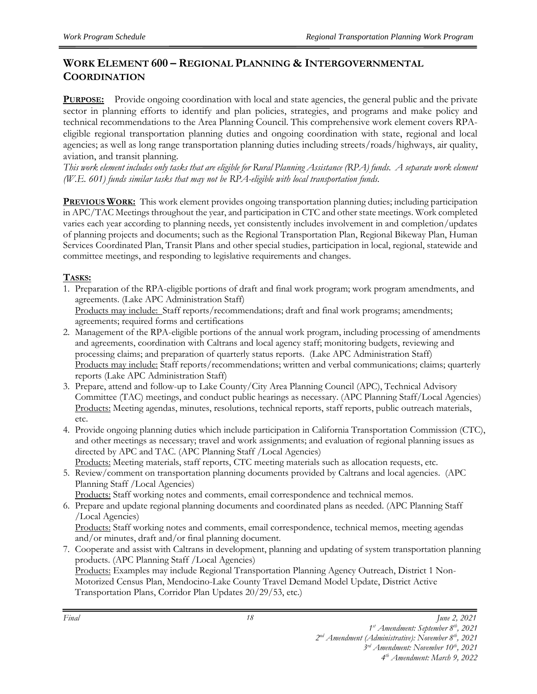# **WORK ELEMENT 600 – REGIONAL PLANNING & INTERGOVERNMENTAL COORDINATION**

**PURPOSE:** Provide ongoing coordination with local and state agencies, the general public and the private sector in planning efforts to identify and plan policies, strategies, and programs and make policy and technical recommendations to the Area Planning Council. This comprehensive work element covers RPAeligible regional transportation planning duties and ongoing coordination with state, regional and local agencies; as well as long range transportation planning duties including streets/roads/highways, air quality, aviation, and transit planning.

*This work element includes only tasks that are eligible for Rural Planning Assistance (RPA) funds. A separate work element (W.E. 601) funds similar tasks that may not be RPA-eligible with local transportation funds.* 

**PREVIOUS WORK:** This work element provides ongoing transportation planning duties; including participation in APC/TAC Meetings throughout the year, and participation in CTC and other state meetings. Work completed varies each year according to planning needs, yet consistently includes involvement in and completion/updates of planning projects and documents; such as the Regional Transportation Plan, Regional Bikeway Plan, Human Services Coordinated Plan, Transit Plans and other special studies, participation in local, regional, statewide and committee meetings, and responding to legislative requirements and changes.

#### **TASKS:**

- 1. Preparation of the RPA-eligible portions of draft and final work program; work program amendments, and agreements. (Lake APC Administration Staff) Products may include: Staff reports/recommendations; draft and final work programs; amendments; agreements; required forms and certifications
- 2. Management of the RPA-eligible portions of the annual work program, including processing of amendments and agreements, coordination with Caltrans and local agency staff; monitoring budgets, reviewing and processing claims; and preparation of quarterly status reports. (Lake APC Administration Staff) Products may include: Staff reports/recommendations; written and verbal communications; claims; quarterly reports (Lake APC Administration Staff)
- 3. Prepare, attend and follow-up to Lake County/City Area Planning Council (APC), Technical Advisory Committee (TAC) meetings, and conduct public hearings as necessary. (APC Planning Staff/Local Agencies) Products: Meeting agendas, minutes, resolutions, technical reports, staff reports, public outreach materials, etc.
- 4. Provide ongoing planning duties which include participation in California Transportation Commission (CTC), and other meetings as necessary; travel and work assignments; and evaluation of regional planning issues as directed by APC and TAC. (APC Planning Staff /Local Agencies) Products: Meeting materials, staff reports, CTC meeting materials such as allocation requests, etc.
- 5. Review/comment on transportation planning documents provided by Caltrans and local agencies. (APC Planning Staff /Local Agencies)
	- Products: Staff working notes and comments, email correspondence and technical memos.
- 6. Prepare and update regional planning documents and coordinated plans as needed. (APC Planning Staff /Local Agencies)

Products: Staff working notes and comments, email correspondence, technical memos, meeting agendas and/or minutes, draft and/or final planning document.

7. Cooperate and assist with Caltrans in development, planning and updating of system transportation planning products. (APC Planning Staff /Local Agencies) Products: Examples may include Regional Transportation Planning Agency Outreach, District 1 Non-Motorized Census Plan, Mendocino-Lake County Travel Demand Model Update, District Active Transportation Plans, Corridor Plan Updates 20/29/53, etc.)

*<sup>1</sup> st Amendment: September 8th, 2021* 

*<sup>2</sup> nd Amendment (Administrative): November 8th, 2021 3 rd Amendment: November 10th, 2021*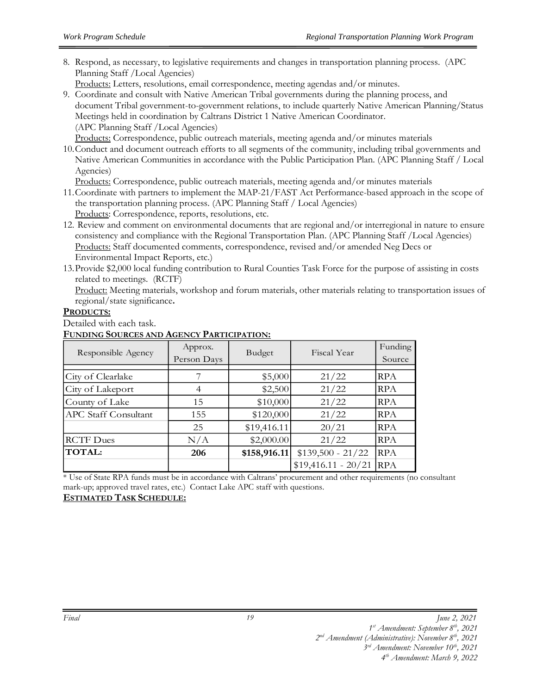8. Respond, as necessary, to legislative requirements and changes in transportation planning process. (APC Planning Staff /Local Agencies)

Products: Letters, resolutions, email correspondence, meeting agendas and/or minutes.

9. Coordinate and consult with Native American Tribal governments during the planning process, and document Tribal government-to-government relations, to include quarterly Native American Planning/Status Meetings held in coordination by Caltrans District 1 Native American Coordinator. (APC Planning Staff /Local Agencies)

Products: Correspondence, public outreach materials, meeting agenda and/or minutes materials

10.Conduct and document outreach efforts to all segments of the community, including tribal governments and Native American Communities in accordance with the Public Participation Plan. (APC Planning Staff / Local Agencies)

Products: Correspondence, public outreach materials, meeting agenda and/or minutes materials

- 11.Coordinate with partners to implement the MAP-21/FAST Act Performance-based approach in the scope of the transportation planning process. (APC Planning Staff / Local Agencies) Products: Correspondence, reports, resolutions, etc.
- 12. Review and comment on environmental documents that are regional and/or interregional in nature to ensure consistency and compliance with the Regional Transportation Plan. (APC Planning Staff /Local Agencies) Products: Staff documented comments, correspondence, revised and/or amended Neg Decs or Environmental Impact Reports, etc.)
- 13.Provide \$2,000 local funding contribution to Rural Counties Task Force for the purpose of assisting in costs related to meetings. (RCTF)

Product: Meeting materials, workshop and forum materials, other materials relating to transportation issues of regional/state significance**.**

#### **PRODUCTS:**

Detailed with each task.

#### **FUNDING SOURCES AND AGENCY PARTICIPATION:**

| Responsible Agency          | Approx.<br>Person Days | Budget       | Fiscal Year          | Funding<br>Source |
|-----------------------------|------------------------|--------------|----------------------|-------------------|
| City of Clearlake           |                        | \$5,000      | 21/22                | <b>RPA</b>        |
| City of Lakeport            | 4                      | \$2,500      | 21/22                | <b>RPA</b>        |
| County of Lake              | 15                     | \$10,000     | 21/22                | <b>RPA</b>        |
| <b>APC Staff Consultant</b> | 155                    | \$120,000    | 21/22                | <b>RPA</b>        |
|                             | 25                     | \$19,416.11  | 20/21                | <b>RPA</b>        |
| <b>RCTF Dues</b>            | N/A                    | \$2,000.00   | 21/22                | <b>RPA</b>        |
| <b>TOTAL:</b>               | 206                    | \$158,916.11 | $$139,500 - 21/22$   | <b>RPA</b>        |
|                             |                        |              | $$19,416.11 - 20/21$ | <b>RPA</b>        |

\* Use of State RPA funds must be in accordance with Caltrans' procurement and other requirements (no consultant mark-up; approved travel rates, etc.) Contact Lake APC staff with questions.

*19*

#### **ESTIMATED TASK SCHEDULE:**

*1 st Amendment: September 8th, 2021* 

*2 nd Amendment (Administrative): November 8th, 2021* 

*3 rd Amendment: November 10th, 2021*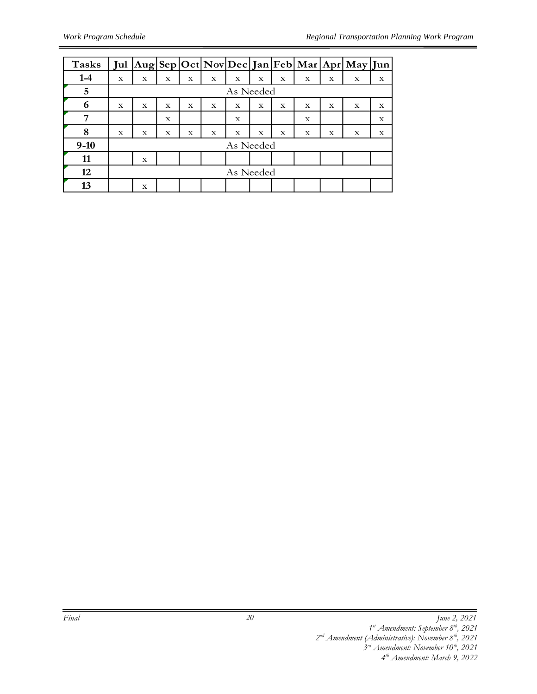| <b>Tasks</b> |             |                         |             |   |             |             |             |             |   |   | Jul Aug Sep Oct Nov Dec Jan Feb Mar Apr May Jun |             |
|--------------|-------------|-------------------------|-------------|---|-------------|-------------|-------------|-------------|---|---|-------------------------------------------------|-------------|
| $1-4$        | $\mathbf X$ | X                       | $\mathbf X$ | X | $\mathbf X$ | X           | X           | $\mathbf X$ | X | X | X                                               | X           |
| 5            |             |                         |             |   |             | As Needed   |             |             |   |   |                                                 |             |
| 6            | X           | $\mathbf x$             | X           | X | X           | $\mathbf X$ | $\mathbf x$ | X           | X | X | X                                               | $\mathbf X$ |
| 7            |             |                         | X           |   |             | $\mathbf x$ |             |             | X |   |                                                 | $\mathbf x$ |
| 8            | X           | $\mathbf X$             | X           | X | X           | X           | X           | $\mathbf X$ | X | X | X                                               | X           |
| $9-10$       |             |                         |             |   |             | As Needed   |             |             |   |   |                                                 |             |
| 11           |             | $\overline{\mathbf{X}}$ |             |   |             |             |             |             |   |   |                                                 |             |
| 12           |             |                         |             |   |             | As Needed   |             |             |   |   |                                                 |             |
| 13           |             | X                       |             |   |             |             |             |             |   |   |                                                 |             |

*2 nd Amendment (Administrative): November 8th, 2021* 

*<sup>1</sup> st Amendment: September 8th, 2021* 

*<sup>3</sup> rd Amendment: November 10th, 2021 4 th Amendment: March 9, 2022*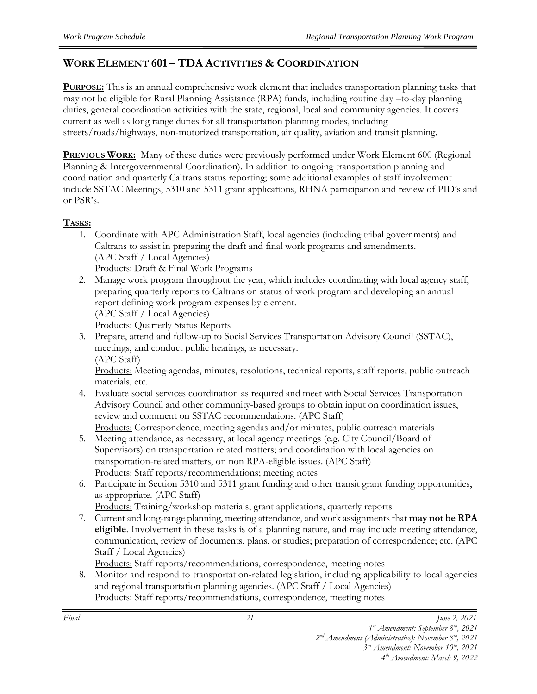# **WORK ELEMENT 601 – TDA ACTIVITIES & COORDINATION**

**PURPOSE:** This is an annual comprehensive work element that includes transportation planning tasks that may not be eligible for Rural Planning Assistance (RPA) funds, including routine day –to-day planning duties, general coordination activities with the state, regional, local and community agencies. It covers current as well as long range duties for all transportation planning modes, including streets/roads/highways, non-motorized transportation, air quality, aviation and transit planning.

**PREVIOUS WORK:** Many of these duties were previously performed under Work Element 600 (Regional Planning & Intergovernmental Coordination). In addition to ongoing transportation planning and coordination and quarterly Caltrans status reporting; some additional examples of staff involvement include SSTAC Meetings, 5310 and 5311 grant applications, RHNA participation and review of PID's and or PSR's.

#### **TASKS:**

- 1. Coordinate with APC Administration Staff, local agencies (including tribal governments) and Caltrans to assist in preparing the draft and final work programs and amendments. (APC Staff / Local Agencies) Products: Draft & Final Work Programs
- 2. Manage work program throughout the year, which includes coordinating with local agency staff, preparing quarterly reports to Caltrans on status of work program and developing an annual report defining work program expenses by element. (APC Staff / Local Agencies) Products: Quarterly Status Reports
- 3. Prepare, attend and follow-up to Social Services Transportation Advisory Council (SSTAC), meetings, and conduct public hearings, as necessary. (APC Staff)

Products: Meeting agendas, minutes, resolutions, technical reports, staff reports, public outreach materials, etc.

4. Evaluate social services coordination as required and meet with Social Services Transportation Advisory Council and other community-based groups to obtain input on coordination issues, review and comment on SSTAC recommendations. (APC Staff)

Products: Correspondence, meeting agendas and/or minutes, public outreach materials

- 5. Meeting attendance, as necessary, at local agency meetings (e.g. City Council/Board of Supervisors) on transportation related matters; and coordination with local agencies on transportation-related matters, on non RPA-eligible issues. (APC Staff) Products: Staff reports/recommendations; meeting notes
- 6. Participate in Section 5310 and 5311 grant funding and other transit grant funding opportunities, as appropriate. (APC Staff)

Products: Training/workshop materials, grant applications, quarterly reports

7. Current and long-range planning, meeting attendance, and work assignments that **may not be RPA eligible**. Involvement in these tasks is of a planning nature, and may include meeting attendance, communication, review of documents, plans, or studies; preparation of correspondence; etc. (APC Staff / Local Agencies)

Products: Staff reports/recommendations, correspondence, meeting notes

8. Monitor and respond to transportation-related legislation, including applicability to local agencies and regional transportation planning agencies. (APC Staff / Local Agencies)

Products: Staff reports/recommendations, correspondence, meeting notes

*<sup>1</sup> st Amendment: September 8th, 2021* 

*<sup>2</sup> nd Amendment (Administrative): November 8th, 2021*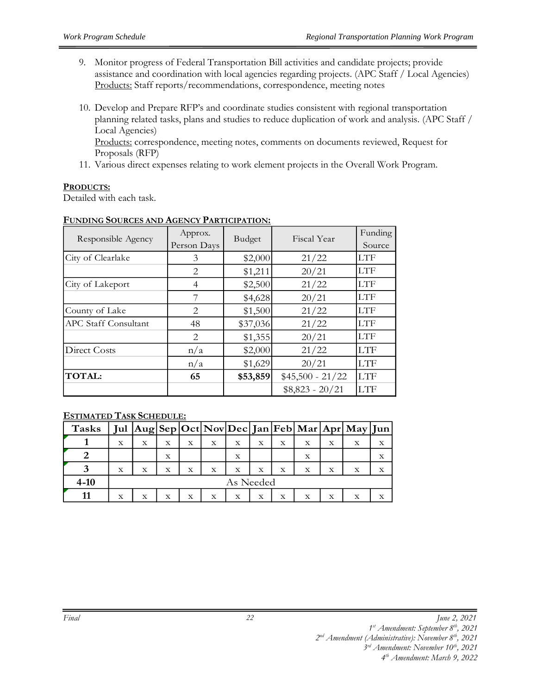- 9. Monitor progress of Federal Transportation Bill activities and candidate projects; provide assistance and coordination with local agencies regarding projects. (APC Staff / Local Agencies) Products: Staff reports/recommendations, correspondence, meeting notes
- 10. Develop and Prepare RFP's and coordinate studies consistent with regional transportation planning related tasks, plans and studies to reduce duplication of work and analysis. (APC Staff / Local Agencies)

Products: correspondence, meeting notes, comments on documents reviewed, Request for Proposals (RFP)

11. Various direct expenses relating to work element projects in the Overall Work Program.

#### **PRODUCTS:**

Detailed with each task.

| Responsible Agency          | Approx.<br>Person Days      | <b>Budget</b> | Fiscal Year       | Funding<br>Source |
|-----------------------------|-----------------------------|---------------|-------------------|-------------------|
| City of Clearlake           | 3                           | \$2,000       | 21/22             | LTF               |
|                             | 2                           | \$1,211       | 20/21             | LTF               |
| City of Lakeport            | 4                           | \$2,500       | 21/22             | <b>LTF</b>        |
|                             |                             | \$4,628       | 20/21             | <b>LTF</b>        |
| County of Lake              | $\mathcal{D}_{\mathcal{L}}$ | \$1,500       | 21/22             | <b>LTF</b>        |
| <b>APC Staff Consultant</b> | 48                          | \$37,036      | 21/22             | <b>LTF</b>        |
|                             | 2                           | \$1,355       | 20/21             | <b>LTF</b>        |
| Direct Costs                | n/a                         | \$2,000       | 21/22             | <b>LTF</b>        |
|                             | n/a                         | \$1,629       | 20/21             | LTF               |
| <b>TOTAL:</b>               | 65                          | \$53,859      | $$45,500 - 21/22$ | <b>LTF</b>        |
|                             |                             |               | $$8,823 - 20/21$  | <b>LTF</b>        |

#### **FUNDING SOURCES AND AGENCY PARTICIPATION:**

#### **ESTIMATED TASK SCHEDULE:**

| <b>Tasks</b> |             |           |   |   |   |   |   |   |   |   | Jul Aug Sep Oct Nov Dec Jan Feb Mar Apr May Jun |   |
|--------------|-------------|-----------|---|---|---|---|---|---|---|---|-------------------------------------------------|---|
|              | X           | X         | X | Х | X | X | X | X | X | X | X                                               | X |
|              |             |           | X |   |   | X |   |   | X |   |                                                 | X |
|              | $\mathbf X$ | X         | X | Х | X | X | X | X | X | х | X                                               | X |
| $4 - 10$     |             | As Needed |   |   |   |   |   |   |   |   |                                                 |   |
|              | X           | X         | X | х | X | X | X | X | X | X | X                                               | X |

*1 st Amendment: September 8th, 2021* 

*2 nd Amendment (Administrative): November 8th, 2021* 

*3 rd Amendment: November 10th, 2021*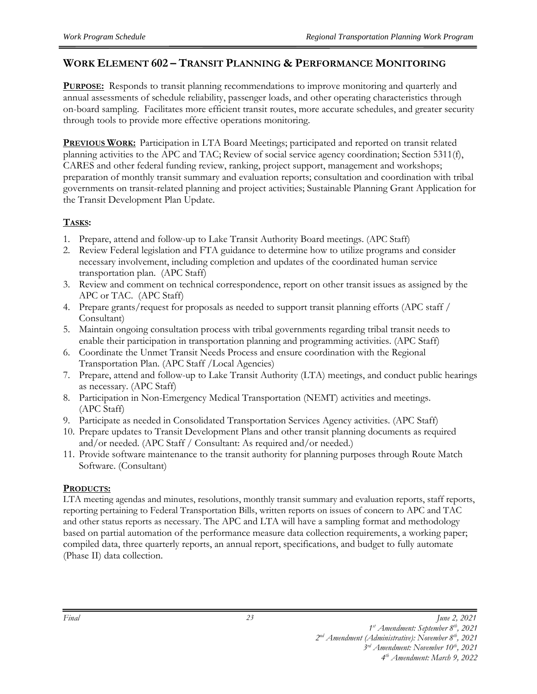#### **WORK ELEMENT 602 – TRANSIT PLANNING & PERFORMANCE MONITORING**

**PURPOSE:** Responds to transit planning recommendations to improve monitoring and quarterly and annual assessments of schedule reliability, passenger loads, and other operating characteristics through on-board sampling. Facilitates more efficient transit routes, more accurate schedules, and greater security through tools to provide more effective operations monitoring.

**PREVIOUS WORK:** Participation in LTA Board Meetings; participated and reported on transit related planning activities to the APC and TAC; Review of social service agency coordination; Section 5311(f), CARES and other federal funding review, ranking, project support, management and workshops; preparation of monthly transit summary and evaluation reports; consultation and coordination with tribal governments on transit-related planning and project activities; Sustainable Planning Grant Application for the Transit Development Plan Update.

#### **TASKS:**

- 1. Prepare, attend and follow-up to Lake Transit Authority Board meetings. (APC Staff)
- 2. Review Federal legislation and FTA guidance to determine how to utilize programs and consider necessary involvement, including completion and updates of the coordinated human service transportation plan. (APC Staff)
- 3. Review and comment on technical correspondence, report on other transit issues as assigned by the APC or TAC. (APC Staff)
- 4. Prepare grants/request for proposals as needed to support transit planning efforts (APC staff / Consultant)
- 5. Maintain ongoing consultation process with tribal governments regarding tribal transit needs to enable their participation in transportation planning and programming activities. (APC Staff)
- 6. Coordinate the Unmet Transit Needs Process and ensure coordination with the Regional Transportation Plan. (APC Staff /Local Agencies)
- 7. Prepare, attend and follow-up to Lake Transit Authority (LTA) meetings, and conduct public hearings as necessary. (APC Staff)
- 8. Participation in Non-Emergency Medical Transportation (NEMT) activities and meetings. (APC Staff)
- 9. Participate as needed in Consolidated Transportation Services Agency activities. (APC Staff)
- 10. Prepare updates to Transit Development Plans and other transit planning documents as required and/or needed. (APC Staff / Consultant: As required and/or needed.)
- 11. Provide software maintenance to the transit authority for planning purposes through Route Match Software. (Consultant)

#### **PRODUCTS:**

LTA meeting agendas and minutes, resolutions, monthly transit summary and evaluation reports, staff reports, reporting pertaining to Federal Transportation Bills, written reports on issues of concern to APC and TAC and other status reports as necessary. The APC and LTA will have a sampling format and methodology based on partial automation of the performance measure data collection requirements, a working paper; compiled data, three quarterly reports, an annual report, specifications, and budget to fully automate (Phase II) data collection.

*<sup>1</sup> st Amendment: September 8th, 2021* 

*<sup>2</sup> nd Amendment (Administrative): November 8th, 2021* 

*<sup>3</sup> rd Amendment: November 10th, 2021 4 th Amendment: March 9, 2022*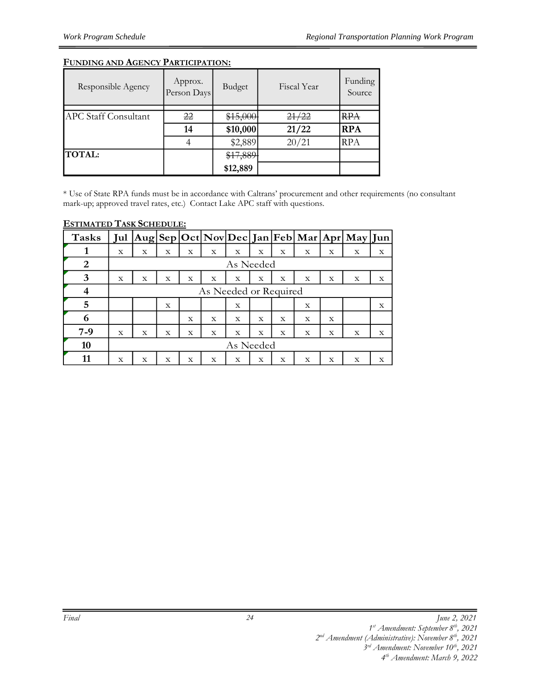#### **FUNDING AND AGENCY PARTICIPATION:**

| Responsible Agency          | Approx.<br>Person Days | Budget   | Fiscal Year | Funding<br>Source |
|-----------------------------|------------------------|----------|-------------|-------------------|
|                             |                        |          |             |                   |
| <b>APC Staff Consultant</b> | 22                     | \$15,000 | 21/22       | <del>RPA</del>    |
|                             | 14                     | \$10,000 | 21/22       | <b>RPA</b>        |
|                             |                        | \$2,889  | 20/21       | <b>RPA</b>        |
| <b>TOTAL:</b>               |                        | \$17,889 |             |                   |
|                             |                        | \$12,889 |             |                   |

\* Use of State RPA funds must be in accordance with Caltrans' procurement and other requirements (no consultant mark-up; approved travel rates, etc.) Contact Lake APC staff with questions.

| <b>Tasks</b> | Jul |           |   |             |                       |             |             |   |   |   | $ Aug Sep Oct Nov Dec Jan Feb Mar Apr May Jun $ |   |
|--------------|-----|-----------|---|-------------|-----------------------|-------------|-------------|---|---|---|-------------------------------------------------|---|
|              | X   | X         | X | X           | X                     | X           | X           | X | X | X | х                                               | X |
| 2            |     |           |   |             |                       | As Needed   |             |   |   |   |                                                 |   |
| 3            | X   | X         | X | X           | X                     | X           | $\mathbf x$ | X | X | X | X                                               | X |
| 4            |     |           |   |             | As Needed or Required |             |             |   |   |   |                                                 |   |
| 5            |     |           | X |             |                       | X           |             |   | X |   |                                                 | X |
| 6            |     |           |   | $\mathbf x$ | X                     | $\mathbf x$ | $\mathbf x$ | X | X | X |                                                 |   |
| $7-9$        | X   | X         | X | X           | X                     | X           | X           | X | X | X | X                                               | X |
| 10           |     | As Needed |   |             |                       |             |             |   |   |   |                                                 |   |
|              | X   | X         | X | X           | X                     | X           | X           | X | X | X | X                                               | x |

#### **ESTIMATED TASK SCHEDULE:**

*<sup>1</sup> st Amendment: September 8th, 2021* 

*<sup>2</sup> nd Amendment (Administrative): November 8th, 2021* 

*<sup>3</sup> rd Amendment: November 10th, 2021* 

*<sup>4</sup> th Amendment: March 9, 2022*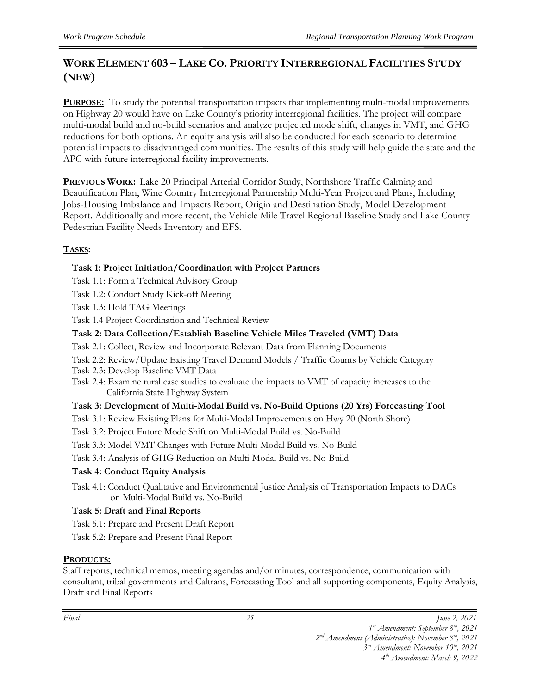# **WORK ELEMENT 603 – LAKE CO. PRIORITY INTERREGIONAL FACILITIES STUDY (NEW)**

**PURPOSE:** To study the potential transportation impacts that implementing multi-modal improvements on Highway 20 would have on Lake County's priority interregional facilities. The project will compare multi-modal build and no-build scenarios and analyze projected mode shift, changes in VMT, and GHG reductions for both options. An equity analysis will also be conducted for each scenario to determine potential impacts to disadvantaged communities. The results of this study will help guide the state and the APC with future interregional facility improvements.

**PREVIOUS WORK:** Lake 20 Principal Arterial Corridor Study, Northshore Traffic Calming and Beautification Plan, Wine Country Interregional Partnership Multi-Year Project and Plans, Including Jobs-Housing Imbalance and Impacts Report, Origin and Destination Study, Model Development Report. Additionally and more recent, the Vehicle Mile Travel Regional Baseline Study and Lake County Pedestrian Facility Needs Inventory and EFS.

#### **TASKS:**

#### **Task 1: Project Initiation/Coordination with Project Partners**

- Task 1.1: Form a Technical Advisory Group
- Task 1.2: Conduct Study Kick-off Meeting
- Task 1.3: Hold TAG Meetings

Task 1.4 Project Coordination and Technical Review

#### **Task 2: Data Collection/Establish Baseline Vehicle Miles Traveled (VMT) Data**

- Task 2.1: Collect, Review and Incorporate Relevant Data from Planning Documents
- Task 2.2: Review/Update Existing Travel Demand Models / Traffic Counts by Vehicle Category
- Task 2.3: Develop Baseline VMT Data
- Task 2.4: Examine rural case studies to evaluate the impacts to VMT of capacity increases to the California State Highway System

#### **Task 3: Development of Multi-Modal Build vs. No-Build Options (20 Yrs) Forecasting Tool**

- Task 3.1: Review Existing Plans for Multi-Modal Improvements on Hwy 20 (North Shore)
- Task 3.2: Project Future Mode Shift on Multi-Modal Build vs. No-Build
- Task 3.3: Model VMT Changes with Future Multi-Modal Build vs. No-Build
- Task 3.4: Analysis of GHG Reduction on Multi-Modal Build vs. No-Build

#### **Task 4: Conduct Equity Analysis**

Task 4.1: Conduct Qualitative and Environmental Justice Analysis of Transportation Impacts to DACs on Multi-Modal Build vs. No-Build

#### **Task 5: Draft and Final Reports**

- Task 5.1: Prepare and Present Draft Report
- Task 5.2: Prepare and Present Final Report

#### **PRODUCTS:**

Staff reports, technical memos, meeting agendas and/or minutes, correspondence, communication with consultant, tribal governments and Caltrans, Forecasting Tool and all supporting components, Equity Analysis, Draft and Final Reports

*Final June 2, 2021*

*1 st Amendment: September 8th, 2021* 

*2 nd Amendment (Administrative): November 8th, 2021* 

*3 rd Amendment: November 10th, 2021 4 th Amendment: March 9, 2022*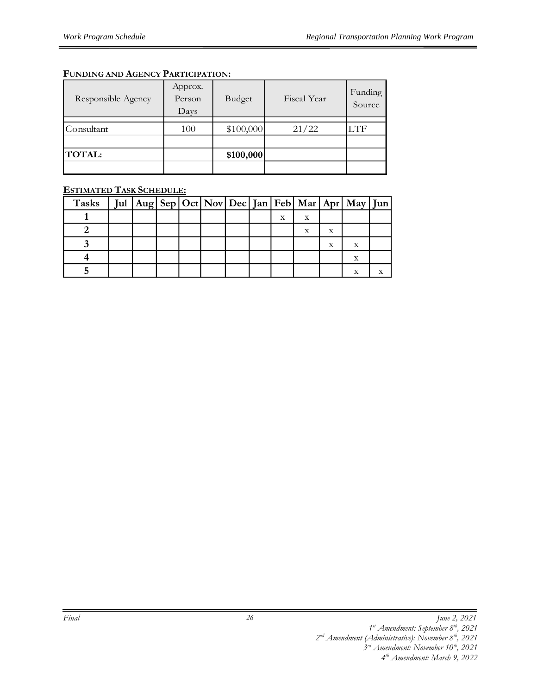#### **FUNDING AND AGENCY PARTICIPATION:**

| Responsible Agency | Approx.<br>Person<br>Days | Budget    | Fiscal Year | Funding<br>Source |
|--------------------|---------------------------|-----------|-------------|-------------------|
| Consultant         | 100                       | \$100,000 | 21/22       | .TF               |
| <b>TOTAL:</b>      |                           | \$100,000 |             |                   |

#### **ESTIMATED TASK SCHEDULE:**

| Tasks |  |  |  |   |   |   | Jul   Aug   Sep   Oct   Nov   Dec   Jan   Feb   Mar   Apr   May   Jun |  |
|-------|--|--|--|---|---|---|-----------------------------------------------------------------------|--|
|       |  |  |  | X | х |   |                                                                       |  |
|       |  |  |  |   | X |   |                                                                       |  |
|       |  |  |  |   |   | X |                                                                       |  |
|       |  |  |  |   |   |   | X                                                                     |  |
|       |  |  |  |   |   |   |                                                                       |  |

*<sup>1</sup> st Amendment: September 8th, 2021* 

*<sup>2</sup> nd Amendment (Administrative): November 8th, 2021 3 rd Amendment: November 10th, 2021* 

*<sup>4</sup> th Amendment: March 9, 2022*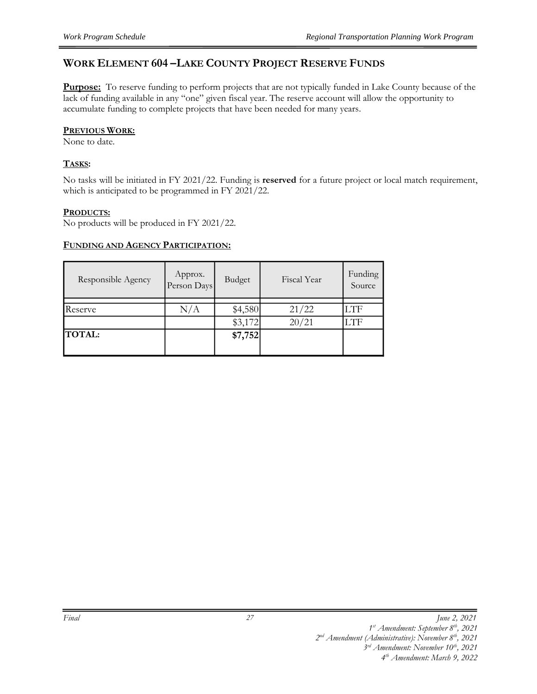#### **WORK ELEMENT 604 –LAKE COUNTY PROJECT RESERVE FUNDS**

**Purpose:** To reserve funding to perform projects that are not typically funded in Lake County because of the lack of funding available in any "one" given fiscal year. The reserve account will allow the opportunity to accumulate funding to complete projects that have been needed for many years.

#### **PREVIOUS WORK:**

None to date.

#### **TASKS:**

No tasks will be initiated in FY 2021/22. Funding is **reserved** for a future project or local match requirement, which is anticipated to be programmed in FY 2021/22.

#### **PRODUCTS:**

No products will be produced in FY 2021/22.

#### **FUNDING AND AGENCY PARTICIPATION:**

| Responsible Agency | Approx.<br>Person Days | Budget  | Fiscal Year | Funding<br>Source |
|--------------------|------------------------|---------|-------------|-------------------|
|                    |                        |         |             |                   |
| Reserve            | N/A                    | \$4,580 | 21/22       | LTF               |
|                    |                        | \$3,172 | 20/21       | LTF               |
| <b>TOTAL:</b>      |                        | \$7,752 |             |                   |
|                    |                        |         |             |                   |

*<sup>1</sup> st Amendment: September 8th, 2021* 

*<sup>2</sup> nd Amendment (Administrative): November 8th, 2021* 

*<sup>3</sup> rd Amendment: November 10th, 2021 4 th Amendment: March 9, 2022*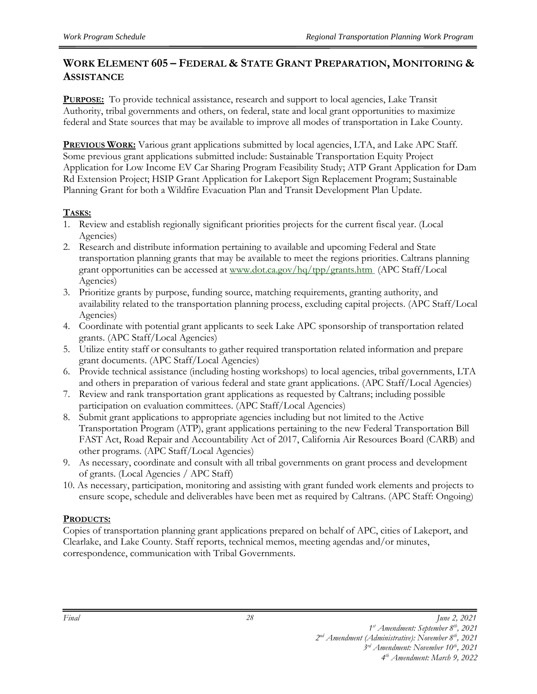### **WORK ELEMENT 605 – FEDERAL & STATE GRANT PREPARATION, MONITORING & ASSISTANCE**

**PURPOSE:** To provide technical assistance, research and support to local agencies, Lake Transit Authority, tribal governments and others, on federal, state and local grant opportunities to maximize federal and State sources that may be available to improve all modes of transportation in Lake County.

**PREVIOUS WORK:** Various grant applications submitted by local agencies, LTA, and Lake APC Staff. Some previous grant applications submitted include: Sustainable Transportation Equity Project Application for Low Income EV Car Sharing Program Feasibility Study; ATP Grant Application for Dam Rd Extension Project; HSIP Grant Application for Lakeport Sign Replacement Program; Sustainable Planning Grant for both a Wildfire Evacuation Plan and Transit Development Plan Update.

#### **TASKS:**

- 1. Review and establish regionally significant priorities projects for the current fiscal year. (Local Agencies)
- 2. Research and distribute information pertaining to available and upcoming Federal and State transportation planning grants that may be available to meet the regions priorities. Caltrans planning grant opportunities can be accessed at [www.dot.ca.gov/hq/tpp/grants.htm](http://www.dot.ca.gov/hq/tpp/grants.htm) (APC Staff/Local Agencies)
- 3. Prioritize grants by purpose, funding source, matching requirements, granting authority, and availability related to the transportation planning process, excluding capital projects. (APC Staff/Local Agencies)
- 4. Coordinate with potential grant applicants to seek Lake APC sponsorship of transportation related grants. (APC Staff/Local Agencies)
- 5. Utilize entity staff or consultants to gather required transportation related information and prepare grant documents. (APC Staff/Local Agencies)
- 6. Provide technical assistance (including hosting workshops) to local agencies, tribal governments, LTA and others in preparation of various federal and state grant applications. (APC Staff/Local Agencies)
- 7. Review and rank transportation grant applications as requested by Caltrans; including possible participation on evaluation committees. (APC Staff/Local Agencies)
- 8. Submit grant applications to appropriate agencies including but not limited to the Active Transportation Program (ATP), grant applications pertaining to the new Federal Transportation Bill FAST Act, Road Repair and Accountability Act of 2017, California Air Resources Board (CARB) and other programs. (APC Staff/Local Agencies)
- 9. As necessary, coordinate and consult with all tribal governments on grant process and development of grants. (Local Agencies / APC Staff)
- 10. As necessary, participation, monitoring and assisting with grant funded work elements and projects to ensure scope, schedule and deliverables have been met as required by Caltrans. (APC Staff: Ongoing)

#### **PRODUCTS:**

Copies of transportation planning grant applications prepared on behalf of APC, cities of Lakeport, and Clearlake, and Lake County. Staff reports, technical memos, meeting agendas and/or minutes, correspondence, communication with Tribal Governments.

*Final June 2, 2021*

*<sup>1</sup> st Amendment: September 8th, 2021* 

*<sup>2</sup> nd Amendment (Administrative): November 8th, 2021*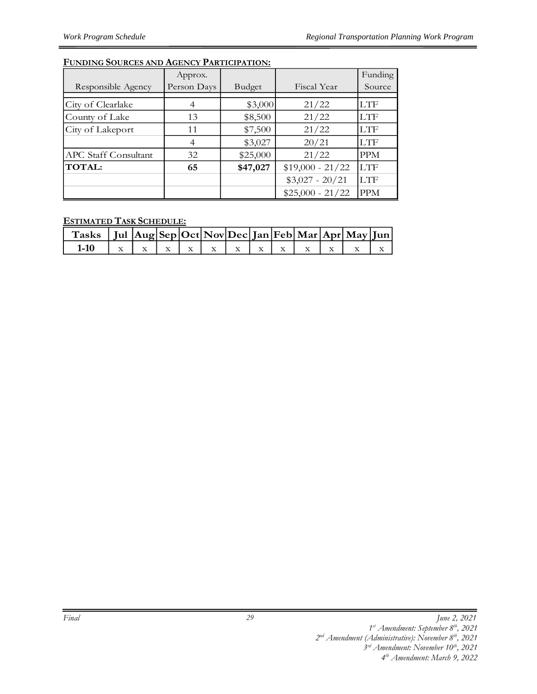#### **FUNDING SOURCES AND AGENCY PARTICIPATION:**

|                      | Approx.        |          |                   | Funding    |
|----------------------|----------------|----------|-------------------|------------|
| Responsible Agency   | Person Days    | Budget   | Fiscal Year       | Source     |
|                      |                |          |                   |            |
| City of Clearlake    |                | \$3,000  | 21/22             | <b>LTF</b> |
| County of Lake       | 13             | \$8,500  | 21/22             | <b>LTF</b> |
| City of Lakeport     | 11             | \$7,500  | 21/22             | <b>LTF</b> |
|                      | $\overline{4}$ | \$3,027  | 20/21             | <b>LTF</b> |
| APC Staff Consultant | 32             | \$25,000 | 21/22             | <b>PPM</b> |
| <b>TOTAL:</b>        | 65             | \$47,027 | $$19,000 - 21/22$ | <b>LTF</b> |
|                      |                |          | $$3,027 - 20/21$  | <b>LTF</b> |
|                      |                |          | $$25,000 - 21/22$ | <b>PPM</b> |

#### **ESTIMATED TASK SCHEDULE:**

| Tasks   Jul $ {\rm Aug} {\rm Sep} {\rm Oct} {\rm Nov} {\rm Dec} {\rm Jan} {\rm Feb} {\rm Mar} {\rm Apr} {\rm May} {\rm Jun} $ |  |  |  |  |  |  |
|-------------------------------------------------------------------------------------------------------------------------------|--|--|--|--|--|--|
|                                                                                                                               |  |  |  |  |  |  |

*Final June 2, 2021*

*<sup>1</sup> st Amendment: September 8th, 2021* 

*<sup>2</sup> nd Amendment (Administrative): November 8th, 2021* 

*<sup>3</sup> rd Amendment: November 10th, 2021 4 th Amendment: March 9, 2022*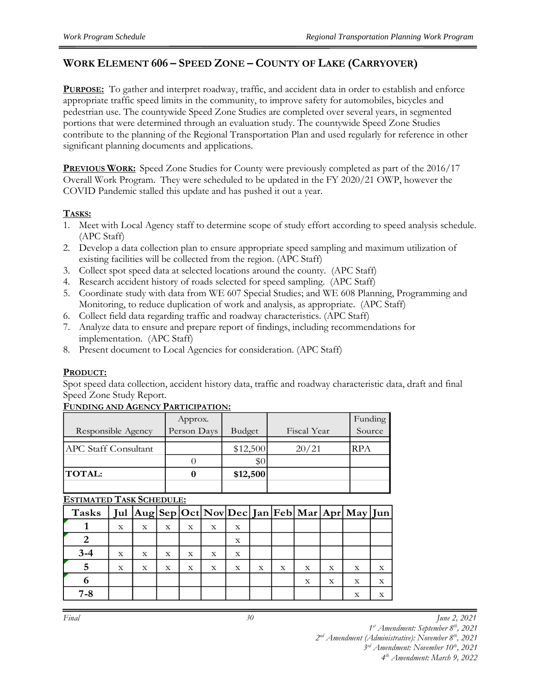#### **WORK ELEMENT 606 – SPEED ZONE – COUNTY OF LAKE (CARRYOVER)**

**PURPOSE:** To gather and interpret roadway, traffic, and accident data in order to establish and enforce appropriate traffic speed limits in the community, to improve safety for automobiles, bicycles and pedestrian use. The countywide Speed Zone Studies are completed over several years, in segmented portions that were determined through an evaluation study. The countywide Speed Zone Studies contribute to the planning of the Regional Transportation Plan and used regularly for reference in other significant planning documents and applications.

**PREVIOUS WORK:** Speed Zone Studies for County were previously completed as part of the 2016/17 Overall Work Program. They were scheduled to be updated in the FY 2020/21 OWP, however the COVID Pandemic stalled this update and has pushed it out a year.

#### **TASKS:**

- 1. Meet with Local Agency staff to determine scope of study effort according to speed analysis schedule. (APC Staff)
- 2. Develop a data collection plan to ensure appropriate speed sampling and maximum utilization of existing facilities will be collected from the region. (APC Staff)
- 3. Collect spot speed data at selected locations around the county. (APC Staff)
- 4. Research accident history of roads selected for speed sampling. (APC Staff)
- 5. Coordinate study with data from WE 607 Special Studies; and WE 608 Planning, Programming and Monitoring, to reduce duplication of work and analysis, as appropriate. (APC Staff)
- 6. Collect field data regarding traffic and roadway characteristics. (APC Staff)
- 7. Analyze data to ensure and prepare report of findings, including recommendations for implementation. (APC Staff)
- 8. Present document to Local Agencies for consideration. (APC Staff)

#### **PRODUCT:**

Spot speed data collection, accident history data, traffic and roadway characteristic data, draft and final Speed Zone Study Report.

#### **FUNDING AND AGENCY PARTICIPATION:**

|                      | Approx.     |          |             | Funding    |
|----------------------|-------------|----------|-------------|------------|
| Responsible Agency   | Person Days | Budget   | Fiscal Year | Source     |
| APC Staff Consultant |             | \$12,500 | 20/21       | <b>RPA</b> |
|                      |             | $\$0$    |             |            |
| <b>TOTAL:</b>        |             | \$12,500 |             |            |
|                      |             |          |             |            |

#### **ESTIMATED TASK SCHEDULE:**

| Tasks   |   |   |   |   |   |             |   |   |             |   | Jul Aug Sep Oct Nov Dec Jan Feb Mar Apr May Jun |             |
|---------|---|---|---|---|---|-------------|---|---|-------------|---|-------------------------------------------------|-------------|
|         | X | X | X | X | X | X           |   |   |             |   |                                                 |             |
|         |   |   |   |   |   | $\mathbf X$ |   |   |             |   |                                                 |             |
| $3 - 4$ | X | X | X | X | X | X           |   |   |             |   |                                                 |             |
|         | X | X | X | X | X | X           | x | X | $\mathbf x$ | X | X                                               | $\mathbf X$ |
|         |   |   |   |   |   |             |   |   | X           | X | $\mathbf x$                                     | X           |
| $7 - 8$ |   |   |   |   |   |             |   |   |             |   | X                                               | X           |

*30*

*Final June 2, 2021*

*1 st Amendment: September 8th, 2021* 

*2 nd Amendment (Administrative): November 8th, 2021* 

*3 rd Amendment: November 10th, 2021 4 th Amendment: March 9, 2022*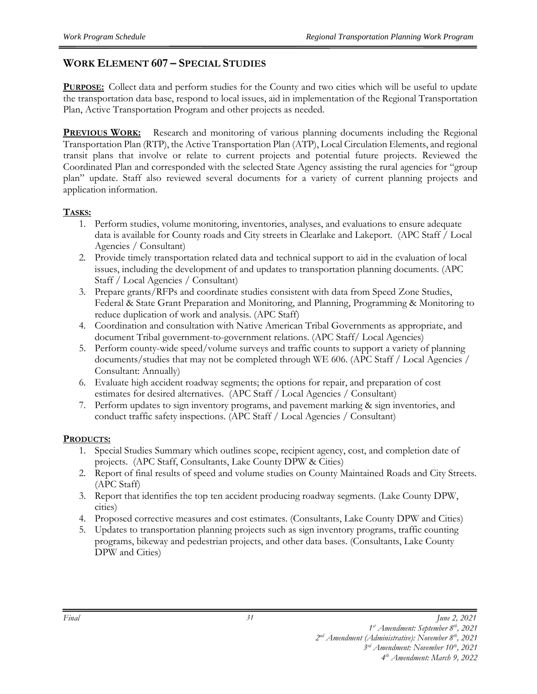#### **WORK ELEMENT 607 – SPECIAL STUDIES**

**PURPOSE:** Collect data and perform studies for the County and two cities which will be useful to update the transportation data base, respond to local issues, aid in implementation of the Regional Transportation Plan, Active Transportation Program and other projects as needed.

**PREVIOUS WORK:** Research and monitoring of various planning documents including the Regional Transportation Plan (RTP), the Active Transportation Plan (ATP), Local Circulation Elements, and regional transit plans that involve or relate to current projects and potential future projects. Reviewed the Coordinated Plan and corresponded with the selected State Agency assisting the rural agencies for "group plan" update. Staff also reviewed several documents for a variety of current planning projects and application information.

#### **TASKS:**

- 1. Perform studies, volume monitoring, inventories, analyses, and evaluations to ensure adequate data is available for County roads and City streets in Clearlake and Lakeport. (APC Staff / Local Agencies / Consultant)
- 2. Provide timely transportation related data and technical support to aid in the evaluation of local issues, including the development of and updates to transportation planning documents. (APC Staff / Local Agencies / Consultant)
- 3. Prepare grants/RFPs and coordinate studies consistent with data from Speed Zone Studies, Federal & State Grant Preparation and Monitoring, and Planning, Programming & Monitoring to reduce duplication of work and analysis. (APC Staff)
- 4. Coordination and consultation with Native American Tribal Governments as appropriate, and document Tribal government-to-government relations. (APC Staff/ Local Agencies)
- 5. Perform county-wide speed/volume surveys and traffic counts to support a variety of planning documents/studies that may not be completed through WE 606. (APC Staff / Local Agencies / Consultant: Annually)
- 6. Evaluate high accident roadway segments; the options for repair, and preparation of cost estimates for desired alternatives. (APC Staff / Local Agencies / Consultant)
- 7. Perform updates to sign inventory programs, and pavement marking & sign inventories, and conduct traffic safety inspections. (APC Staff / Local Agencies / Consultant)

#### **PRODUCTS:**

- 1. Special Studies Summary which outlines scope, recipient agency, cost, and completion date of projects. (APC Staff, Consultants, Lake County DPW & Cities)
- 2. Report of final results of speed and volume studies on County Maintained Roads and City Streets. (APC Staff)
- 3. Report that identifies the top ten accident producing roadway segments. (Lake County DPW, cities)
- 4. Proposed corrective measures and cost estimates. (Consultants, Lake County DPW and Cities)
- 5. Updates to transportation planning projects such as sign inventory programs, traffic counting programs, bikeway and pedestrian projects, and other data bases. (Consultants, Lake County DPW and Cities)

*<sup>1</sup> st Amendment: September 8th, 2021* 

*<sup>2</sup> nd Amendment (Administrative): November 8th, 2021* 

*<sup>3</sup> rd Amendment: November 10th, 2021 4 th Amendment: March 9, 2022*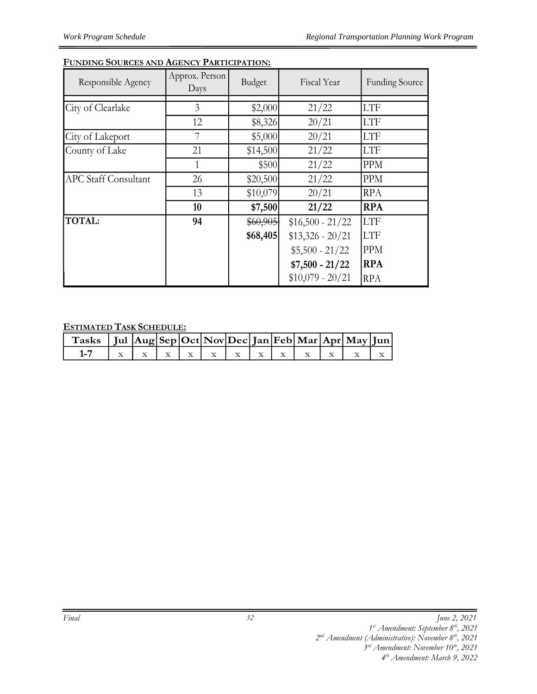#### **FUNDING SOURCES AND AGENCY PARTICIPATION:**

| Responsible Agency          | Approx. Person<br>Days | Budget   | Fiscal Year       | <b>Funding Source</b> |
|-----------------------------|------------------------|----------|-------------------|-----------------------|
|                             |                        |          |                   |                       |
| City of Clearlake           | 3                      | \$2,000  | 21/22             | <b>LTF</b>            |
|                             | 12                     | \$8,326  | 20/21             | <b>LTF</b>            |
| City of Lakeport            | 7                      | \$5,000  | 20/21             | <b>LTF</b>            |
| County of Lake              | 21                     | \$14,500 | 21/22             | <b>LTF</b>            |
|                             | 1                      | \$500    | 21/22             | <b>PPM</b>            |
| <b>APC Staff Consultant</b> | 26                     | \$20,500 | 21/22             | <b>PPM</b>            |
|                             | 13                     | \$10,079 | 20/21             | <b>RPA</b>            |
|                             | 10                     | \$7,500  | 21/22             | <b>RPA</b>            |
| <b>TOTAL:</b>               | 94                     | \$60,905 | $$16,500 - 21/22$ | <b>LTF</b>            |
|                             |                        | \$68,405 | $$13,326 - 20/21$ | <b>LTF</b>            |
|                             |                        |          | $$5,500 - 21/22$  | <b>PPM</b>            |
|                             |                        |          | $$7,500 - 21/22$  | <b>RPA</b>            |
|                             |                        |          | $$10,079 - 20/21$ | <b>RPA</b>            |

#### **ESTIMATED TASK SCHEDULE:**

| $\int$ Tasks $\int$ Jul $\left \text{Aug}\right \text{Sep}\left \text{Oct}\right \text{Nov}\left \text{Dec}\right $ Jan Feb $\left \text{Mar}\right \text{Apr}\left \text{May}\right $ Jun |  |  |  |  |  |  |
|--------------------------------------------------------------------------------------------------------------------------------------------------------------------------------------------|--|--|--|--|--|--|
| $1 - 7$                                                                                                                                                                                    |  |  |  |  |  |  |

*<sup>1</sup> st Amendment: September 8th, 2021* 

*<sup>2</sup> nd Amendment (Administrative): November 8th, 2021* 

*<sup>3</sup> rd Amendment: November 10th, 2021*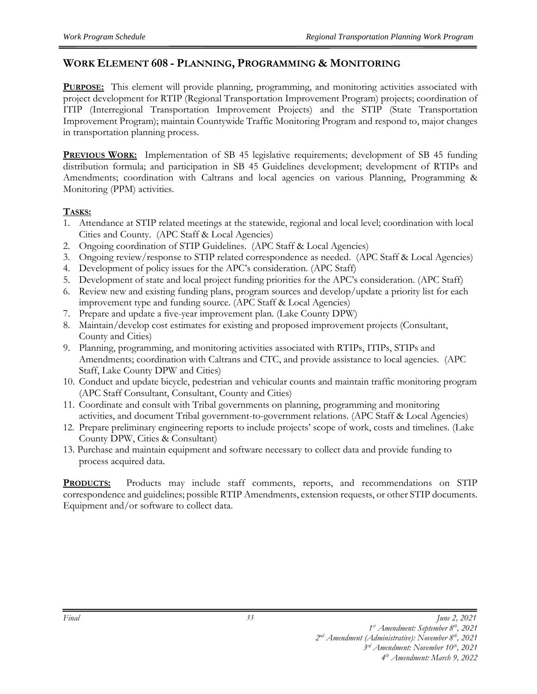#### **WORK ELEMENT 608 - PLANNING, PROGRAMMING & MONITORING**

**PURPOSE:** This element will provide planning, programming, and monitoring activities associated with project development for RTIP (Regional Transportation Improvement Program) projects; coordination of ITIP (Interregional Transportation Improvement Projects) and the STIP (State Transportation Improvement Program); maintain Countywide Traffic Monitoring Program and respond to, major changes in transportation planning process.

**PREVIOUS WORK:** Implementation of SB 45 legislative requirements; development of SB 45 funding distribution formula; and participation in SB 45 Guidelines development; development of RTIPs and Amendments; coordination with Caltrans and local agencies on various Planning, Programming & Monitoring (PPM) activities.

#### **TASKS:**

- 1. Attendance at STIP related meetings at the statewide, regional and local level; coordination with local Cities and County. (APC Staff & Local Agencies)
- 2. Ongoing coordination of STIP Guidelines. (APC Staff & Local Agencies)
- 3. Ongoing review/response to STIP related correspondence as needed. (APC Staff & Local Agencies)
- 4. Development of policy issues for the APC's consideration. (APC Staff)
- 5. Development of state and local project funding priorities for the APC's consideration. (APC Staff)
- 6. Review new and existing funding plans, program sources and develop/update a priority list for each improvement type and funding source. (APC Staff & Local Agencies)
- 7. Prepare and update a five-year improvement plan. (Lake County DPW)
- 8. Maintain/develop cost estimates for existing and proposed improvement projects (Consultant, County and Cities)
- 9. Planning, programming, and monitoring activities associated with RTIPs, ITIPs, STIPs and Amendments; coordination with Caltrans and CTC, and provide assistance to local agencies. (APC Staff, Lake County DPW and Cities)
- 10. Conduct and update bicycle, pedestrian and vehicular counts and maintain traffic monitoring program (APC Staff Consultant, Consultant, County and Cities)
- 11. Coordinate and consult with Tribal governments on planning, programming and monitoring activities, and document Tribal government-to-government relations. (APC Staff & Local Agencies)
- 12. Prepare preliminary engineering reports to include projects' scope of work, costs and timelines. (Lake County DPW, Cities & Consultant)
- 13. Purchase and maintain equipment and software necessary to collect data and provide funding to process acquired data.

**PRODUCTS:** Products may include staff comments, reports, and recommendations on STIP correspondence and guidelines; possible RTIP Amendments, extension requests, or other STIP documents. Equipment and/or software to collect data.

*1 st Amendment: September 8th, 2021* 

*2 nd Amendment (Administrative): November 8th, 2021* 

*3 rd Amendment: November 10th, 2021* 

*33*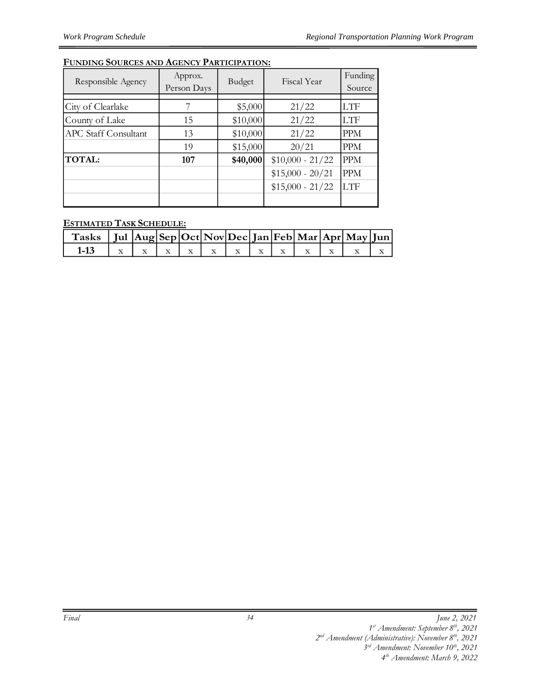#### **FUNDING SOURCES AND AGENCY PARTICIPATION:**

| Responsible Agency          | Approx.<br>Person Days | Budget   | Fiscal Year       | Funding<br>Source |
|-----------------------------|------------------------|----------|-------------------|-------------------|
|                             |                        |          |                   |                   |
| City of Clearlake           |                        | \$5,000  | 21/22             | LTF               |
| County of Lake              | 15                     | \$10,000 | 21/22             | LTF               |
| <b>APC Staff Consultant</b> | 13                     | \$10,000 | 21/22             | PPM               |
|                             | 19                     | \$15,000 | 20/21             | PPM               |
| <b>TOTAL:</b>               | 107                    | \$40,000 | $$10,000 - 21/22$ | <b>PPM</b>        |
|                             |                        |          | $$15,000 - 20/21$ | <b>PPM</b>        |
|                             |                        |          | $$15,000 - 21/22$ | <b>LTF</b>        |
|                             |                        |          |                   |                   |

#### **ESTIMATED TASK SCHEDULE:**

| Tasks   Jul $ Aug Sep Oct Nov Dec Jan Feb Mar Apr May Jun $ |  |  |  |  |  |  |
|-------------------------------------------------------------|--|--|--|--|--|--|
|                                                             |  |  |  |  |  |  |

*34*

*<sup>1</sup> st Amendment: September 8th, 2021* 

*<sup>2</sup> nd Amendment (Administrative): November 8th, 2021* 

*<sup>3</sup> rd Amendment: November 10th, 2021 4 th Amendment: March 9, 2022*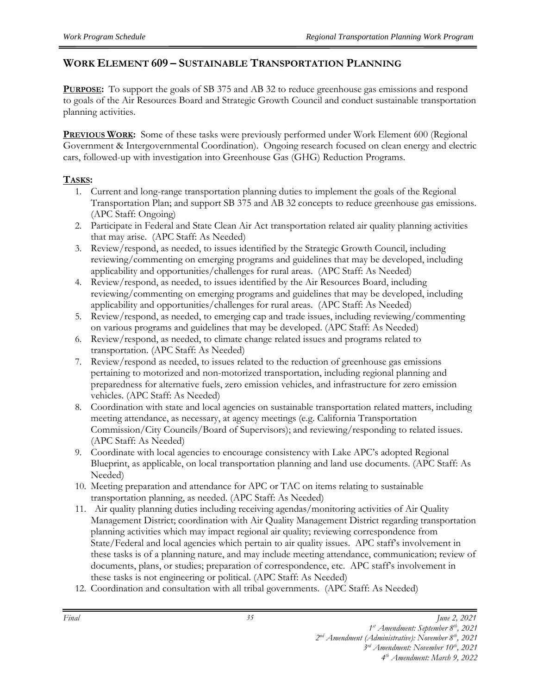#### **WORK ELEMENT 609 – SUSTAINABLE TRANSPORTATION PLANNING**

**PURPOSE:** To support the goals of SB 375 and AB 32 to reduce greenhouse gas emissions and respond to goals of the Air Resources Board and Strategic Growth Council and conduct sustainable transportation planning activities.

**PREVIOUS WORK:** Some of these tasks were previously performed under Work Element 600 (Regional Government & Intergovernmental Coordination). Ongoing research focused on clean energy and electric cars, followed-up with investigation into Greenhouse Gas (GHG) Reduction Programs.

#### **TASKS:**

- 1. Current and long-range transportation planning duties to implement the goals of the Regional Transportation Plan; and support SB 375 and AB 32 concepts to reduce greenhouse gas emissions. (APC Staff: Ongoing)
- 2. Participate in Federal and State Clean Air Act transportation related air quality planning activities that may arise. (APC Staff: As Needed)
- 3. Review/respond, as needed, to issues identified by the Strategic Growth Council, including reviewing/commenting on emerging programs and guidelines that may be developed, including applicability and opportunities/challenges for rural areas. (APC Staff: As Needed)
- 4. Review/respond, as needed, to issues identified by the Air Resources Board, including reviewing/commenting on emerging programs and guidelines that may be developed, including applicability and opportunities/challenges for rural areas. (APC Staff: As Needed)
- 5. Review/respond, as needed, to emerging cap and trade issues, including reviewing/commenting on various programs and guidelines that may be developed. (APC Staff: As Needed)
- 6. Review/respond, as needed, to climate change related issues and programs related to transportation. (APC Staff: As Needed)
- 7. Review/respond as needed, to issues related to the reduction of greenhouse gas emissions pertaining to motorized and non-motorized transportation, including regional planning and preparedness for alternative fuels, zero emission vehicles, and infrastructure for zero emission vehicles. (APC Staff: As Needed)
- 8. Coordination with state and local agencies on sustainable transportation related matters, including meeting attendance, as necessary, at agency meetings (e.g. California Transportation Commission/City Councils/Board of Supervisors); and reviewing/responding to related issues. (APC Staff: As Needed)
- 9. Coordinate with local agencies to encourage consistency with Lake APC's adopted Regional Blueprint, as applicable, on local transportation planning and land use documents. (APC Staff: As Needed)
- 10. Meeting preparation and attendance for APC or TAC on items relating to sustainable transportation planning, as needed. (APC Staff: As Needed)
- 11. Air quality planning duties including receiving agendas/monitoring activities of Air Quality Management District; coordination with Air Quality Management District regarding transportation planning activities which may impact regional air quality; reviewing correspondence from State/Federal and local agencies which pertain to air quality issues. APC staff's involvement in these tasks is of a planning nature, and may include meeting attendance, communication; review of documents, plans, or studies; preparation of correspondence, etc. APC staff's involvement in these tasks is not engineering or political. (APC Staff: As Needed)
- 12. Coordination and consultation with all tribal governments. (APC Staff: As Needed)

- *2 nd Amendment (Administrative): November 8th, 2021 3 rd Amendment: November 10th, 2021* 
	- *4 th Amendment: March 9, 2022*

*<sup>1</sup> st Amendment: September 8th, 2021*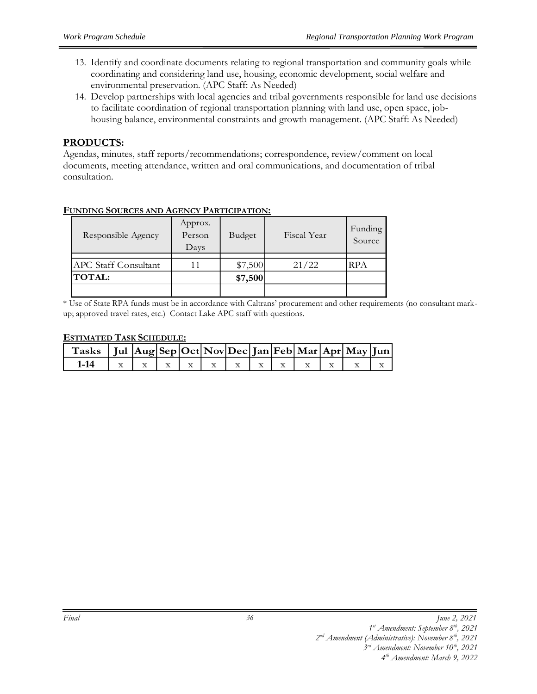- 13. Identify and coordinate documents relating to regional transportation and community goals while coordinating and considering land use, housing, economic development, social welfare and environmental preservation. (APC Staff: As Needed)
- 14. Develop partnerships with local agencies and tribal governments responsible for land use decisions to facilitate coordination of regional transportation planning with land use, open space, jobhousing balance, environmental constraints and growth management. (APC Staff: As Needed)

#### **PRODUCTS:**

Agendas, minutes, staff reports/recommendations; correspondence, review/comment on local documents, meeting attendance, written and oral communications, and documentation of tribal consultation.

| Responsible Agency          | Approx.<br>Person<br>Days | Budget  | Fiscal Year | Funding<br>Source |
|-----------------------------|---------------------------|---------|-------------|-------------------|
| <b>APC Staff Consultant</b> | 11                        | \$7,500 | 21/22       | RPA               |
| <b>TOTAL:</b>               |                           | \$7,500 |             |                   |

#### **FUNDING SOURCES AND AGENCY PARTICIPATION:**

\* Use of State RPA funds must be in accordance with Caltrans' procurement and other requirements (no consultant markup; approved travel rates, etc.) Contact Lake APC staff with questions.

#### **ESTIMATED TASK SCHEDULE:**

| Tasks   Jul  Aug Sep Oct Nov Dec Jan Feb Mar Apr May Jun |  |  |  |  |  |  |
|----------------------------------------------------------|--|--|--|--|--|--|
|                                                          |  |  |  |  |  |  |

*2 nd Amendment (Administrative): November 8th, 2021* 

*<sup>1</sup> st Amendment: September 8th, 2021* 

*<sup>3</sup> rd Amendment: November 10th, 2021*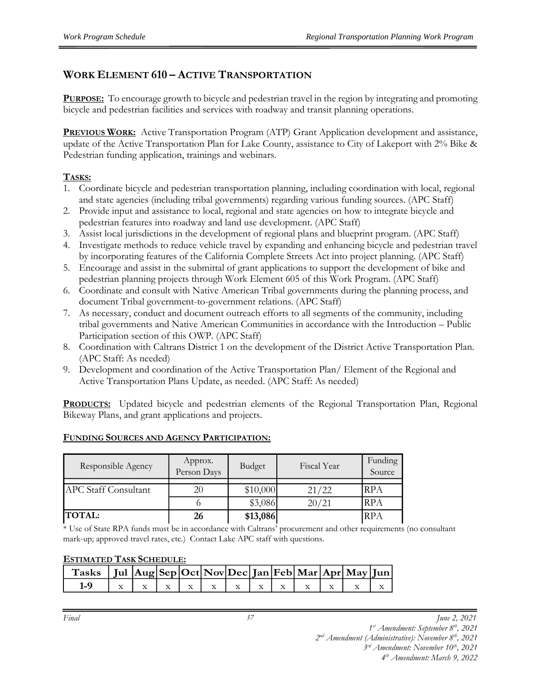# **WORK ELEMENT 610 – ACTIVE TRANSPORTATION**

**PURPOSE:** To encourage growth to bicycle and pedestrian travel in the region by integrating and promoting bicycle and pedestrian facilities and services with roadway and transit planning operations.

**PREVIOUS WORK:** Active Transportation Program (ATP) Grant Application development and assistance, update of the Active Transportation Plan for Lake County, assistance to City of Lakeport with 2% Bike & Pedestrian funding application, trainings and webinars.

#### **TASKS:**

- 1. Coordinate bicycle and pedestrian transportation planning, including coordination with local, regional and state agencies (including tribal governments) regarding various funding sources. (APC Staff)
- 2. Provide input and assistance to local, regional and state agencies on how to integrate bicycle and pedestrian features into roadway and land use development. (APC Staff)
- 3. Assist local jurisdictions in the development of regional plans and blueprint program. (APC Staff)
- 4. Investigate methods to reduce vehicle travel by expanding and enhancing bicycle and pedestrian travel by incorporating features of the California Complete Streets Act into project planning. (APC Staff)
- 5. Encourage and assist in the submittal of grant applications to support the development of bike and pedestrian planning projects through Work Element 605 of this Work Program. (APC Staff)
- 6. Coordinate and consult with Native American Tribal governments during the planning process, and document Tribal government-to-government relations. (APC Staff)
- 7. As necessary, conduct and document outreach efforts to all segments of the community, including tribal governments and Native American Communities in accordance with the Introduction – Public Participation section of this OWP. (APC Staff)
- 8. Coordination with Caltrans District 1 on the development of the District Active Transportation Plan. (APC Staff: As needed)
- 9. Development and coordination of the Active Transportation Plan/ Element of the Regional and Active Transportation Plans Update, as needed. (APC Staff: As needed)

**PRODUCTS:** Updated bicycle and pedestrian elements of the Regional Transportation Plan, Regional Bikeway Plans, and grant applications and projects.

| Responsible Agency          | Approx.<br>Person Days | Budget   | Fiscal Year | Funding<br>Source |
|-----------------------------|------------------------|----------|-------------|-------------------|
| <b>APC Staff Consultant</b> | 20                     | \$10,000 | 21/22       | <b>RPA</b>        |
|                             |                        | \$3,086  | 20/21       | <b>RPA</b>        |
| <b>TOTAL:</b>               | 26                     | \$13,086 |             | <b>RPA</b>        |

#### **FUNDING SOURCES AND AGENCY PARTICIPATION:**

\* Use of State RPA funds must be in accordance with Caltrans' procurement and other requirements (no consultant mark-up; approved travel rates, etc.) Contact Lake APC staff with questions.

#### **ESTIMATED TASK SCHEDULE:**

| Tasks   Jul $ Aug Sep Oct Nov Dec Jan Feb Mar Apr May Jun $ |  |  |  |  |  |  |
|-------------------------------------------------------------|--|--|--|--|--|--|
|                                                             |  |  |  |  |  |  |

*1 st Amendment: September 8th, 2021* 

*2 nd Amendment (Administrative): November 8th, 2021* 

*3 rd Amendment: November 10th, 2021 4 th Amendment: March 9, 2022*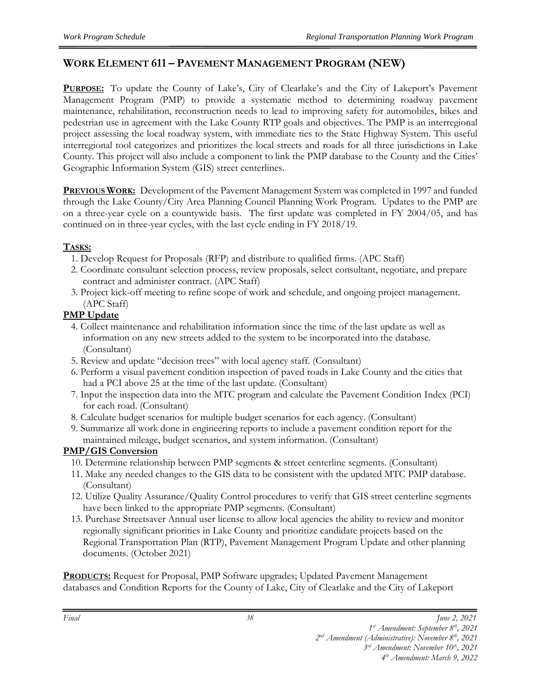# **WORK ELEMENT 611 – PAVEMENT MANAGEMENT PROGRAM (NEW)**

**PURPOSE:** To update the County of Lake's, City of Clearlake's and the City of Lakeport's Pavement Management Program (PMP) to provide a systematic method to determining roadway pavement maintenance, rehabilitation, reconstruction needs to lead to improving safety for automobiles, bikes and pedestrian use in agreement with the Lake County RTP goals and objectives. The PMP is an interregional project assessing the local roadway system, with immediate ties to the State Highway System. This useful interregional tool categorizes and prioritizes the local streets and roads for all three jurisdictions in Lake County. This project will also include a component to link the PMP database to the County and the Cities' Geographic Information System (GIS) street centerlines.

**PREVIOUS WORK:** Development of the Pavement Management System was completed in 1997 and funded through the Lake County/City Area Planning Council Planning Work Program. Updates to the PMP are on a three-year cycle on a countywide basis. The first update was completed in FY 2004/05, and has continued on in three-year cycles, with the last cycle ending in FY 2018/19.

#### **TASKS:**

- 1. Develop Request for Proposals (RFP) and distribute to qualified firms. (APC Staff)
- 2. Coordinate consultant selection process, review proposals, select consultant, negotiate, and prepare contract and administer contract. (APC Staff)
- 3. Project kick-off meeting to refine scope of work and schedule, and ongoing project management. (APC Staff)

#### **PMP Update**

- 4. Collect maintenance and rehabilitation information since the time of the last update as well as information on any new streets added to the system to be incorporated into the database. (Consultant)
- 5. Review and update "decision trees" with local agency staff. (Consultant)
- 6. Perform a visual pavement condition inspection of paved roads in Lake County and the cities that had a PCI above 25 at the time of the last update. (Consultant)
- 7. Input the inspection data into the MTC program and calculate the Pavement Condition Index (PCI) for each road. (Consultant)
- 8. Calculate budget scenarios for multiple budget scenarios for each agency. (Consultant)
- 9. Summarize all work done in engineering reports to include a pavement condition report for the maintained mileage, budget scenarios, and system information. (Consultant)

#### **PMP/GIS Conversion**

- 10. Determine relationship between PMP segments & street centerline segments. (Consultant)
- 11. Make any needed changes to the GIS data to be consistent with the updated MTC PMP database. (Consultant)
- 12. Utilize Quality Assurance/Quality Control procedures to verify that GIS street centerline segments have been linked to the appropriate PMP segments. (Consultant)
- 13. Purchase Streetsaver Annual user license to allow local agencies the ability to review and monitor regionally significant priorities in Lake County and prioritize candidate projects based on the Regional Transportation Plan (RTP), Pavement Management Program Update and other planning documents. (October 2021)

**PRODUCTS:** Request for Proposal, PMP Software upgrades; Updated Pavement Management databases and Condition Reports for the County of Lake, City of Clearlake and the City of Lakeport

*<sup>1</sup> st Amendment: September 8th, 2021* 

*<sup>2</sup> nd Amendment (Administrative): November 8th, 2021*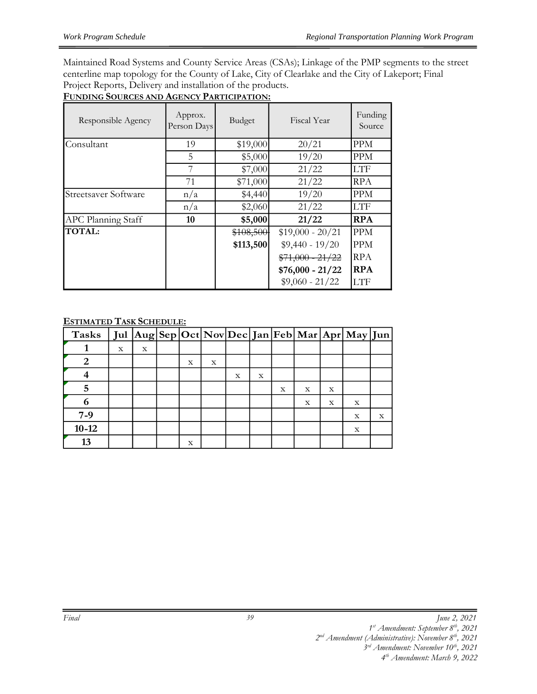Maintained Road Systems and County Service Areas (CSAs); Linkage of the PMP segments to the street centerline map topology for the County of Lake, City of Clearlake and the City of Lakeport; Final Project Reports, Delivery and installation of the products.

| FUNDING SOURCES AND AGENCY PARTICIPATION: |  |  |
|-------------------------------------------|--|--|
|                                           |  |  |

| Responsible Agency          | Approx.<br>Person Days | Budget    | Fiscal Year       | Funding<br>Source |
|-----------------------------|------------------------|-----------|-------------------|-------------------|
| Consultant                  | 19                     | \$19,000  | 20/21             | <b>PPM</b>        |
|                             | 5                      | \$5,000   | 19/20             | <b>PPM</b>        |
|                             |                        | \$7,000   | 21/22             | <b>LTF</b>        |
|                             | 71                     | \$71,000  | 21/22             | RPA               |
| <b>Streetsaver Software</b> | n/a                    | \$4,440   | 19/20             | <b>PPM</b>        |
|                             | n/a                    | \$2,060   | 21/22             | <b>LTF</b>        |
| <b>APC Planning Staff</b>   | 10                     | \$5,000   | 21/22             | <b>RPA</b>        |
| <b>TOTAL:</b>               |                        | \$108,500 | $$19,000 - 20/21$ | <b>PPM</b>        |
|                             |                        | \$113,500 | $$9,440 - 19/20$  | <b>PPM</b>        |
|                             |                        |           | $$71,000 - 21/22$ | <b>RPA</b>        |
|                             |                        |           | $$76,000 - 21/22$ | <b>RPA</b>        |
|                             |                        |           | $$9,060 - 21/22$  | <b>LTF</b>        |

#### **ESTIMATED TASK SCHEDULE:**

| <b>Tasks</b> |   |   |   |   |   |             |   |   |             | Jul  Aug Sep Oct Nov Dec Jan Feb Mar Apr May Jun |   |
|--------------|---|---|---|---|---|-------------|---|---|-------------|--------------------------------------------------|---|
|              | X | X |   |   |   |             |   |   |             |                                                  |   |
|              |   |   | X | X |   |             |   |   |             |                                                  |   |
|              |   |   |   |   | X | $\mathbf X$ |   |   |             |                                                  |   |
|              |   |   |   |   |   |             | X | X | $\mathbf x$ |                                                  |   |
| 6            |   |   |   |   |   |             |   | X | X           | X                                                |   |
| $7-9$        |   |   |   |   |   |             |   |   |             | X                                                | X |
| $10 - 12$    |   |   |   |   |   |             |   |   |             | X                                                |   |
| 13           |   |   | X |   |   |             |   |   |             |                                                  |   |

*<sup>2</sup> nd Amendment (Administrative): November 8th, 2021* 

*<sup>3</sup> rd Amendment: November 10th, 2021*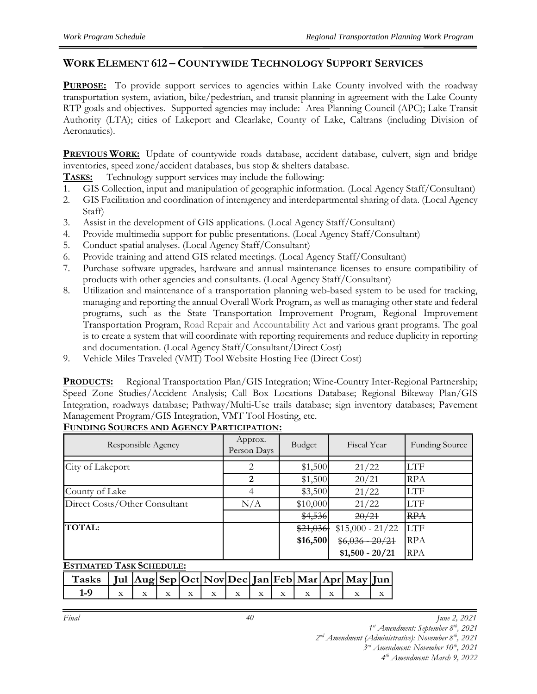#### **WORK ELEMENT 612 – COUNTYWIDE TECHNOLOGY SUPPORT SERVICES**

**PURPOSE:** To provide support services to agencies within Lake County involved with the roadway transportation system, aviation, bike/pedestrian, and transit planning in agreement with the Lake County RTP goals and objectives. Supported agencies may include: Area Planning Council (APC); Lake Transit Authority (LTA); cities of Lakeport and Clearlake, County of Lake, Caltrans (including Division of Aeronautics).

**PREVIOUS WORK:** Update of countywide roads database, accident database, culvert, sign and bridge inventories, speed zone/accident databases, bus stop & shelters database.

**TASKS:** Technology support services may include the following:

- 1. GIS Collection, input and manipulation of geographic information. (Local Agency Staff/Consultant)
- 2. GIS Facilitation and coordination of interagency and interdepartmental sharing of data. (Local Agency Staff)
- 3. Assist in the development of GIS applications. (Local Agency Staff/Consultant)
- 4. Provide multimedia support for public presentations. (Local Agency Staff/Consultant)
- 5. Conduct spatial analyses. (Local Agency Staff/Consultant)
- 6. Provide training and attend GIS related meetings. (Local Agency Staff/Consultant)
- 7. Purchase software upgrades, hardware and annual maintenance licenses to ensure compatibility of products with other agencies and consultants. (Local Agency Staff/Consultant)
- 8. Utilization and maintenance of a transportation planning web-based system to be used for tracking, managing and reporting the annual Overall Work Program, as well as managing other state and federal programs, such as the State Transportation Improvement Program, Regional Improvement Transportation Program, Road Repair and Accountability Act and various grant programs. The goal is to create a system that will coordinate with reporting requirements and reduce duplicity in reporting and documentation. (Local Agency Staff/Consultant/Direct Cost)
- 9. Vehicle Miles Traveled (VMT) Tool Website Hosting Fee (Direct Cost)

**PRODUCTS:** Regional Transportation Plan/GIS Integration; Wine-Country Inter-Regional Partnership; Speed Zone Studies/Accident Analysis; Call Box Locations Database; Regional Bikeway Plan/GIS Integration, roadways database; Pathway/Multi-Use trails database; sign inventory databases; Pavement Management Program/GIS Integration, VMT Tool Hosting, etc.

| Responsible Agency            | Approx.<br>Person Days | Budget   | Fiscal Year       | <b>Funding Source</b> |
|-------------------------------|------------------------|----------|-------------------|-----------------------|
| City of Lakeport              | 2                      | \$1,500  | 21/22             | LTF                   |
|                               | $\overline{2}$         | \$1,500  | 20/21             | <b>RPA</b>            |
| County of Lake                | 4                      | \$3,500  | 21/22             | LTF                   |
| Direct Costs/Other Consultant | N/A                    | \$10,000 | 21/22             | LTF                   |
|                               |                        | \$4,536  | 20/21             | <b>RPA</b>            |
| <b>TOTAL:</b>                 |                        | \$21,036 | $$15,000 - 21/22$ | <b>LTF</b>            |
|                               |                        | \$16,500 | $$6,036 - 20/21$  | <b>RPA</b>            |
|                               |                        |          | $$1,500 - 20/21$  | <b>RPA</b>            |

#### **FUNDING SOURCES AND AGENCY PARTICIPATION:**

**ESTIMATED TASK SCHEDULE:**

| Tasks   Jul $ Aug Sep Oct Nov Dec Jan Feb Mar Apr May Jun $ |  |  |  |  |  |  |
|-------------------------------------------------------------|--|--|--|--|--|--|
|                                                             |  |  |  |  |  |  |

*Final June 2, 2021*

*1 st Amendment: September 8th, 2021* 

*2 nd Amendment (Administrative): November 8th, 2021* 

*3 rd Amendment: November 10th, 2021*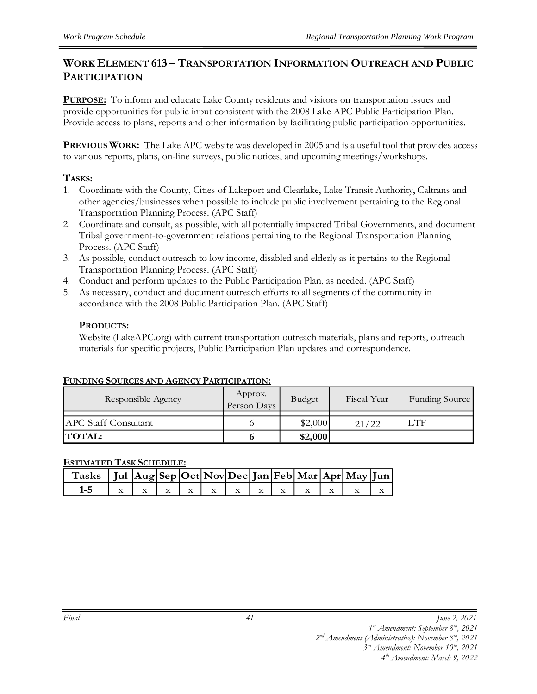#### **WORK ELEMENT 613 – TRANSPORTATION INFORMATION OUTREACH AND PUBLIC PARTICIPATION**

**PURPOSE:** To inform and educate Lake County residents and visitors on transportation issues and provide opportunities for public input consistent with the 2008 Lake APC Public Participation Plan. Provide access to plans, reports and other information by facilitating public participation opportunities.

**PREVIOUS WORK:** The Lake APC website was developed in 2005 and is a useful tool that provides access to various reports, plans, on-line surveys, public notices, and upcoming meetings/workshops.

#### **TASKS:**

- 1. Coordinate with the County, Cities of Lakeport and Clearlake, Lake Transit Authority, Caltrans and other agencies/businesses when possible to include public involvement pertaining to the Regional Transportation Planning Process. (APC Staff)
- 2. Coordinate and consult, as possible, with all potentially impacted Tribal Governments, and document Tribal government-to-government relations pertaining to the Regional Transportation Planning Process. (APC Staff)
- 3. As possible, conduct outreach to low income, disabled and elderly as it pertains to the Regional Transportation Planning Process. (APC Staff)
- 4. Conduct and perform updates to the Public Participation Plan, as needed. (APC Staff)
- 5. As necessary, conduct and document outreach efforts to all segments of the community in accordance with the 2008 Public Participation Plan. (APC Staff)

#### **PRODUCTS:**

Website (LakeAPC.org) with current transportation outreach materials, plans and reports, outreach materials for specific projects, Public Participation Plan updates and correspondence.

#### **FUNDING SOURCES AND AGENCY PARTICIPATION:**

| Responsible Agency          | Approx.<br>Person Days | Budget  | Fiscal Year | Funding Source |
|-----------------------------|------------------------|---------|-------------|----------------|
|                             |                        |         |             |                |
| <b>APC</b> Staff Consultant |                        | \$2,000 | 21/22       | LTF            |
| <b>TOTAL:</b>               |                        | \$2,000 |             |                |

#### **ESTIMATED TASK SCHEDULE:**

| $\int$ Tasks $\int$ Jul $\left  \text{Aug} \right $ Sep $\left  \text{Oct} \right $ Nov $\left  \text{Dec} \right $ Jan $\left  \text{Feb} \right $ Mar $\left  \text{Apr} \right $ May $\left  \text{Jun} \right $ |  |  |  |  |  |  |
|---------------------------------------------------------------------------------------------------------------------------------------------------------------------------------------------------------------------|--|--|--|--|--|--|
| $1 - 5$                                                                                                                                                                                                             |  |  |  |  |  |  |

*1 st Amendment: September 8th, 2021* 

*2 nd Amendment (Administrative): November 8th, 2021* 

*3 rd Amendment: November 10th, 2021*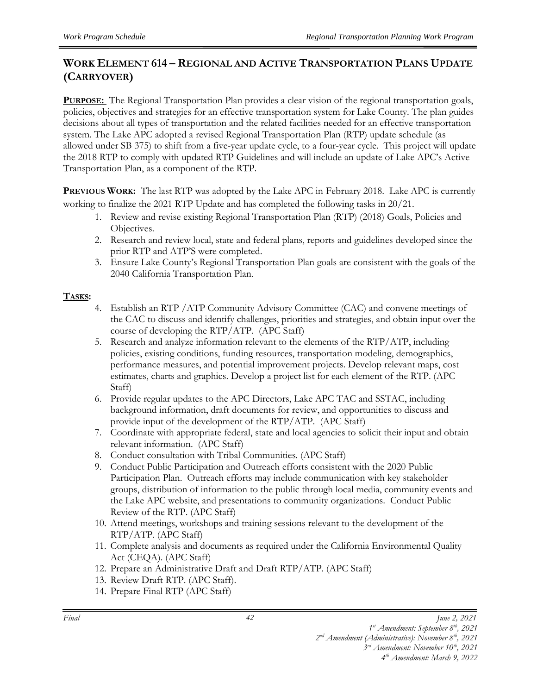# **WORK ELEMENT 614 – REGIONAL AND ACTIVE TRANSPORTATION PLANS UPDATE (CARRYOVER)**

**PURPOSE:** The Regional Transportation Plan provides a clear vision of the regional transportation goals, policies, objectives and strategies for an effective transportation system for Lake County. The plan guides decisions about all types of transportation and the related facilities needed for an effective transportation system. The Lake APC adopted a revised Regional Transportation Plan (RTP) update schedule (as allowed under SB 375) to shift from a five-year update cycle, to a four-year cycle. This project will update the 2018 RTP to comply with updated RTP Guidelines and will include an update of Lake APC's Active Transportation Plan, as a component of the RTP.

**PREVIOUS WORK:** The last RTP was adopted by the Lake APC in February 2018. Lake APC is currently working to finalize the 2021 RTP Update and has completed the following tasks in 20/21.

- 1. Review and revise existing Regional Transportation Plan (RTP) (2018) Goals, Policies and Objectives.
- 2. Research and review local, state and federal plans, reports and guidelines developed since the prior RTP and ATP'S were completed.
- 3. Ensure Lake County's Regional Transportation Plan goals are consistent with the goals of the 2040 California Transportation Plan.

#### **TASKS:**

- 4. Establish an RTP /ATP Community Advisory Committee (CAC) and convene meetings of the CAC to discuss and identify challenges, priorities and strategies, and obtain input over the course of developing the RTP/ATP. (APC Staff)
- 5. Research and analyze information relevant to the elements of the RTP/ATP, including policies, existing conditions, funding resources, transportation modeling, demographics, performance measures, and potential improvement projects. Develop relevant maps, cost estimates, charts and graphics. Develop a project list for each element of the RTP. (APC Staff)
- 6. Provide regular updates to the APC Directors, Lake APC TAC and SSTAC, including background information, draft documents for review, and opportunities to discuss and provide input of the development of the RTP/ATP. (APC Staff)
- 7. Coordinate with appropriate federal, state and local agencies to solicit their input and obtain relevant information. (APC Staff)
- 8. Conduct consultation with Tribal Communities. (APC Staff)
- 9. Conduct Public Participation and Outreach efforts consistent with the 2020 Public Participation Plan. Outreach efforts may include communication with key stakeholder groups, distribution of information to the public through local media, community events and the Lake APC website, and presentations to community organizations. Conduct Public Review of the RTP. (APC Staff)
- 10. Attend meetings, workshops and training sessions relevant to the development of the RTP/ATP. (APC Staff)
- 11. Complete analysis and documents as required under the California Environmental Quality Act (CEQA). (APC Staff)
- 12. Prepare an Administrative Draft and Draft RTP/ATP. (APC Staff)
- 13. Review Draft RTP. (APC Staff).
- 14. Prepare Final RTP (APC Staff)

*<sup>1</sup> st Amendment: September 8th, 2021* 

*<sup>2</sup> nd Amendment (Administrative): November 8th, 2021* 

*<sup>3</sup> rd Amendment: November 10th, 2021*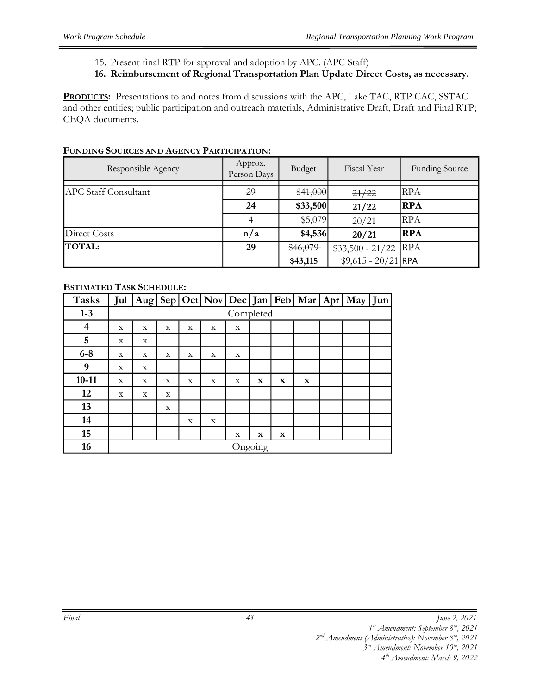- 15. Present final RTP for approval and adoption by APC. (APC Staff)
- **16. Reimbursement of Regional Transportation Plan Update Direct Costs, as necessary.**

**PRODUCTS:** Presentations to and notes from discussions with the APC, Lake TAC, RTP CAC, SSTAC and other entities; public participation and outreach materials, Administrative Draft, Draft and Final RTP; CEQA documents.

| Responsible Agency          | Approx.<br>Person Days | Budget   | Fiscal Year          | <b>Funding Source</b> |
|-----------------------------|------------------------|----------|----------------------|-----------------------|
| <b>APC Staff Consultant</b> | 29                     | \$41,000 | 21/22                | <del>RPA</del>        |
|                             | 24                     | \$33,500 | 21/22                | <b>RPA</b>            |
|                             | 4                      | \$5,079  | 20/21                | <b>RPA</b>            |
| Direct Costs                | n/a                    | \$4,536  | 20/21                | <b>RPA</b>            |
| <b>TOTAL:</b>               | 29                     | \$46,079 | $$33,500 - 21/22$    | <b>RPA</b>            |
|                             |                        | \$43,115 | $$9,615 - 20/21$ RPA |                       |

#### **FUNDING SOURCES AND AGENCY PARTICIPATION:**

#### **ESTIMATED TASK SCHEDULE:**

| <b>Tasks</b> |   |         |   |   |   |           |             |             |             |  | Jul Aug Sep Oct Nov Dec Jan Feb Mar Apr May Jun |  |
|--------------|---|---------|---|---|---|-----------|-------------|-------------|-------------|--|-------------------------------------------------|--|
| $1-3$        |   |         |   |   |   | Completed |             |             |             |  |                                                 |  |
| 4            | X | X       | X | X | X | X         |             |             |             |  |                                                 |  |
| 5            | X | X       |   |   |   |           |             |             |             |  |                                                 |  |
| $6-8$        | X | X       | X | X | X | X         |             |             |             |  |                                                 |  |
| 9            | X | X       |   |   |   |           |             |             |             |  |                                                 |  |
| $10 - 11$    | X | X       | X | X | X | X         | $\mathbf x$ | $\mathbf x$ | $\mathbf x$ |  |                                                 |  |
| 12           | X | X       | X |   |   |           |             |             |             |  |                                                 |  |
| 13           |   |         | X |   |   |           |             |             |             |  |                                                 |  |
| 14           |   |         |   | X | X |           |             |             |             |  |                                                 |  |
| 15           |   |         |   |   |   | X         | $\mathbf x$ | $\mathbf x$ |             |  |                                                 |  |
| 16           |   | Ongoing |   |   |   |           |             |             |             |  |                                                 |  |

*<sup>1</sup> st Amendment: September 8th, 2021* 

*<sup>2</sup> nd Amendment (Administrative): November 8th, 2021* 

*<sup>3</sup> rd Amendment: November 10th, 2021*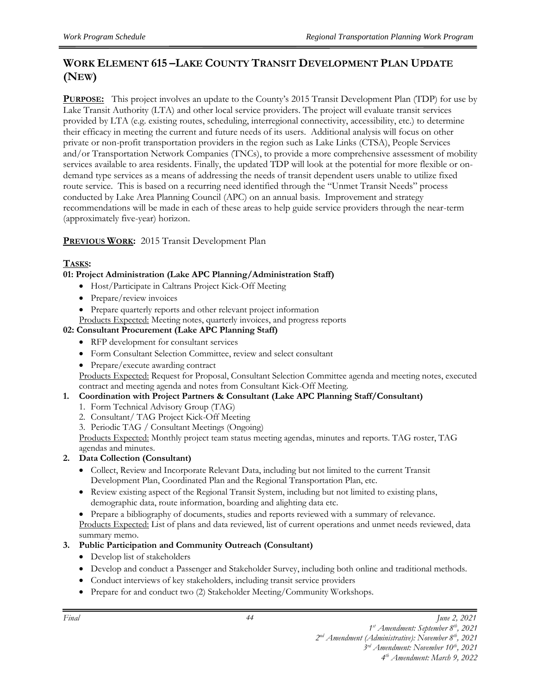# **WORK ELEMENT 615 –LAKE COUNTY TRANSIT DEVELOPMENT PLAN UPDATE (NEW)**

**PURPOSE:** This project involves an update to the County's 2015 Transit Development Plan (TDP) for use by Lake Transit Authority (LTA) and other local service providers. The project will evaluate transit services provided by LTA (e.g. existing routes, scheduling, interregional connectivity, accessibility, etc.) to determine their efficacy in meeting the current and future needs of its users. Additional analysis will focus on other private or non-profit transportation providers in the region such as Lake Links (CTSA), People Services and/or Transportation Network Companies (TNCs), to provide a more comprehensive assessment of mobility services available to area residents. Finally, the updated TDP will look at the potential for more flexible or ondemand type services as a means of addressing the needs of transit dependent users unable to utilize fixed route service. This is based on a recurring need identified through the "Unmet Transit Needs" process conducted by Lake Area Planning Council (APC) on an annual basis. Improvement and strategy recommendations will be made in each of these areas to help guide service providers through the near-term (approximately five-year) horizon.

#### **PREVIOUS WORK:** 2015 Transit Development Plan

#### **TASKS:**

#### **01: Project Administration (Lake APC Planning/Administration Staff)**

- Host/Participate in Caltrans Project Kick-Off Meeting
- Prepare/review invoices
- Prepare quarterly reports and other relevant project information
- Products Expected: Meeting notes, quarterly invoices, and progress reports

#### **02: Consultant Procurement (Lake APC Planning Staff)**

- RFP development for consultant services
- Form Consultant Selection Committee, review and select consultant
- Prepare/execute awarding contract

Products Expected: Request for Proposal, Consultant Selection Committee agenda and meeting notes, executed contract and meeting agenda and notes from Consultant Kick-Off Meeting.

#### **1. Coordination with Project Partners & Consultant (Lake APC Planning Staff/Consultant)**

- 1. Form Technical Advisory Group (TAG)
- 2. Consultant/ TAG Project Kick-Off Meeting
- 3. Periodic TAG / Consultant Meetings (Ongoing)

Products Expected: Monthly project team status meeting agendas, minutes and reports. TAG roster, TAG agendas and minutes.

#### **2. Data Collection (Consultant)**

- Collect, Review and Incorporate Relevant Data, including but not limited to the current Transit Development Plan, Coordinated Plan and the Regional Transportation Plan, etc.
- Review existing aspect of the Regional Transit System, including but not limited to existing plans, demographic data, route information, boarding and alighting data etc.
- Prepare a bibliography of documents, studies and reports reviewed with a summary of relevance.

Products Expected: List of plans and data reviewed, list of current operations and unmet needs reviewed, data summary memo.

#### **3. Public Participation and Community Outreach (Consultant)**

- Develop list of stakeholders
- Develop and conduct a Passenger and Stakeholder Survey, including both online and traditional methods.
- Conduct interviews of key stakeholders, including transit service providers
- Prepare for and conduct two (2) Stakeholder Meeting/Community Workshops.

*1 st Amendment: September 8th, 2021* 

*2 nd Amendment (Administrative): November 8th, 2021* 

*3 rd Amendment: November 10th, 2021 4 th Amendment: March 9, 2022*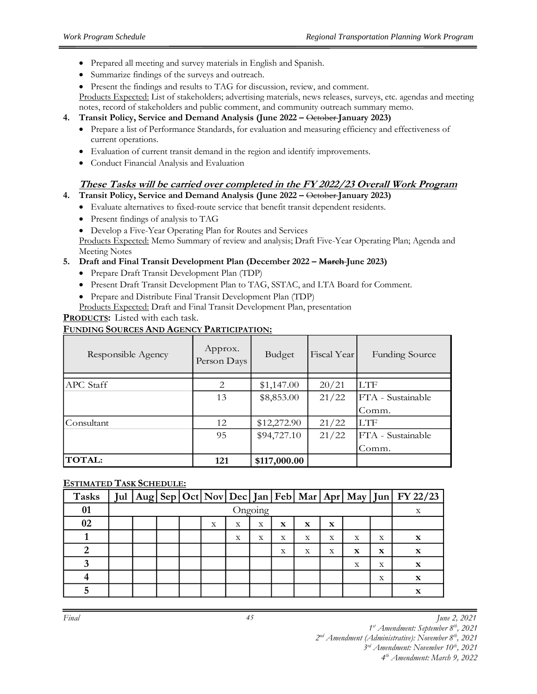- Prepared all meeting and survey materials in English and Spanish.
- Summarize findings of the surveys and outreach.
- Present the findings and results to TAG for discussion, review, and comment.

Products Expected: List of stakeholders; advertising materials, news releases, surveys, etc. agendas and meeting notes, record of stakeholders and public comment, and community outreach summary memo.

#### **4. Transit Policy, Service and Demand Analysis (June 2022 –** October **January 2023)**

- Prepare a list of Performance Standards, for evaluation and measuring efficiency and effectiveness of current operations.
- Evaluation of current transit demand in the region and identify improvements.
- Conduct Financial Analysis and Evaluation

#### **These Tasks will be carried over completed in the FY 2022/23 Overall Work Program**

**4. Transit Policy, Service and Demand Analysis (June 2022 –** October **January 2023)**

- Evaluate alternatives to fixed-route service that benefit transit dependent residents.
- Present findings of analysis to TAG
- Develop a Five-Year Operating Plan for Routes and Services

Products Expected: Memo Summary of review and analysis; Draft Five-Year Operating Plan; Agenda and Meeting Notes

#### **5. Draft and Final Transit Development Plan (December 2022 – March June 2023)**

- Prepare Draft Transit Development Plan (TDP)
- Present Draft Transit Development Plan to TAG, SSTAC, and LTA Board for Comment.
- Prepare and Distribute Final Transit Development Plan (TDP)
- Products Expected: Draft and Final Transit Development Plan, presentation

#### **PRODUCTS:** Listed with each task.

#### **FUNDING SOURCES AND AGENCY PARTICIPATION:**

| Responsible Agency | Approx.<br>Person Days | <b>Budget</b> | Fiscal Year | <b>Funding Source</b> |
|--------------------|------------------------|---------------|-------------|-----------------------|
|                    |                        |               |             |                       |
| APC Staff          | 2                      | \$1,147.00    | 20/21       | <b>LTF</b>            |
|                    | 13                     | \$8,853.00    | 21/22       | FTA - Sustainable     |
|                    |                        |               |             | Comm.                 |
| lConsultant-       | 12                     | \$12,272.90   | 21/22       | <b>LTF</b>            |
|                    | 95                     | \$94,727.10   | 21/22       | FTA - Sustainable     |
|                    |                        |               |             | Comm.                 |
| <b>TOTAL:</b>      | 121                    | \$117,000.00  |             |                       |

#### **ESTIMATED TASK SCHEDULE:**

| <b>Tasks</b>   |         |  |  |   |   |   |   |   |   |             |             | Jul   Aug  Sep  Oct  Nov  Dec  Jan  Feb  Mar   Apr  May   Jun  FY 22/23 |
|----------------|---------|--|--|---|---|---|---|---|---|-------------|-------------|-------------------------------------------------------------------------|
| 01             | Ongoing |  |  |   |   |   |   |   |   |             |             |                                                                         |
| 02             |         |  |  | X | X | X | X | x | X |             |             |                                                                         |
|                |         |  |  |   | X | X | X | X | X | X           | X           | $\mathbf x$                                                             |
| $\overline{2}$ |         |  |  |   |   |   | X | X | X | $\mathbf x$ | $\mathbf x$ | $\mathbf x$                                                             |
| 3              |         |  |  |   |   |   |   |   |   | X           | X           | $\mathbf{x}$                                                            |
|                |         |  |  |   |   |   |   |   |   |             | X           | $\mathbf x$                                                             |
| 5              |         |  |  |   |   |   |   |   |   |             |             | $\mathbf x$                                                             |

*Final June 2, 2021*

*1 st Amendment: September 8th, 2021* 

*2 nd Amendment (Administrative): November 8th, 2021* 

*3 rd Amendment: November 10th, 2021*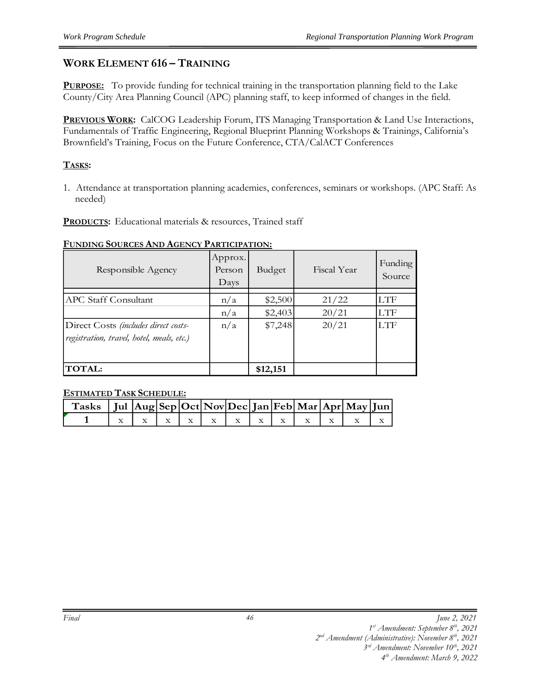#### **WORK ELEMENT 616 – TRAINING**

**PURPOSE:** To provide funding for technical training in the transportation planning field to the Lake County/City Area Planning Council (APC) planning staff, to keep informed of changes in the field.

**PREVIOUS WORK:** CalCOG Leadership Forum, ITS Managing Transportation & Land Use Interactions, Fundamentals of Traffic Engineering, Regional Blueprint Planning Workshops & Trainings, California's Brownfield's Training, Focus on the Future Conference, CTA/CalACT Conferences

#### **TASKS:**

1. Attendance at transportation planning academies, conferences, seminars or workshops. (APC Staff: As needed)

**PRODUCTS:** Educational materials & resources, Trained staff

#### **FUNDING SOURCES AND AGENCY PARTICIPATION:**

| Responsible Agency                        | Approx.<br>Person<br>Days | Budget   | Fiscal Year | Funding<br>Source |
|-------------------------------------------|---------------------------|----------|-------------|-------------------|
| APC Staff Consultant                      | n/a                       | \$2,500  | 21/22       | LTF               |
|                                           | n/a                       | \$2,403  | 20/21       | LTF               |
| Direct Costs (includes direct costs-      | n/a                       | \$7,248  | 20/21       | <b>LTF</b>        |
| registration, travel, hotel, meals, etc.) |                           |          |             |                   |
|                                           |                           |          |             |                   |
| <b>TOTAL:</b>                             |                           | \$12,151 |             |                   |

#### **ESTIMATED TASK SCHEDULE:**

| Tasks   Jul $ Aug Sep Oct Nov Dec Jan Feb Mar Apr May Jun $ |  |  |  |  |  |                                         |  |
|-------------------------------------------------------------|--|--|--|--|--|-----------------------------------------|--|
|                                                             |  |  |  |  |  | $x + x + x + x + x + x + x + x + x + x$ |  |

*<sup>1</sup> st Amendment: September 8th, 2021* 

*<sup>2</sup> nd Amendment (Administrative): November 8th, 2021* 

*<sup>3</sup> rd Amendment: November 10th, 2021*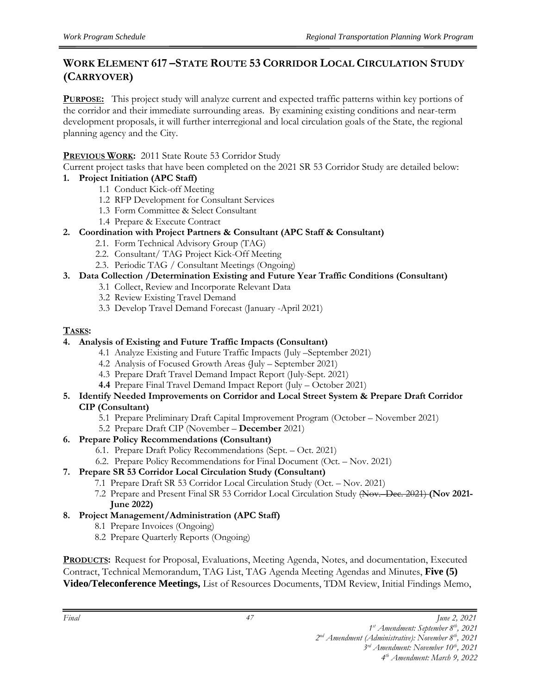# **WORK ELEMENT 617 –STATE ROUTE 53 CORRIDOR LOCAL CIRCULATION STUDY (CARRYOVER)**

**PURPOSE:** This project study will analyze current and expected traffic patterns within key portions of the corridor and their immediate surrounding areas. By examining existing conditions and near-term development proposals, it will further interregional and local circulation goals of the State, the regional planning agency and the City.

#### **PREVIOUS WORK:** 2011 State Route 53 Corridor Study

Current project tasks that have been completed on the 2021 SR 53 Corridor Study are detailed below:

#### **1. Project Initiation (APC Staff)**

- 1.1 Conduct Kick-off Meeting
- 1.2 RFP Development for Consultant Services
- 1.3 Form Committee & Select Consultant
- 1.4 Prepare & Execute Contract
- **2. Coordination with Project Partners & Consultant (APC Staff & Consultant)**
	- 2.1. Form Technical Advisory Group (TAG)
	- 2.2. Consultant/ TAG Project Kick-Off Meeting
	- 2.3. Periodic TAG / Consultant Meetings (Ongoing)
- **3. Data Collection /Determination Existing and Future Year Traffic Conditions (Consultant)**
	- 3.1 Collect, Review and Incorporate Relevant Data
	- 3.2 Review Existing Travel Demand
	- 3.3 Develop Travel Demand Forecast (January -April 2021)

#### **TASKS:**

#### **4. Analysis of Existing and Future Traffic Impacts (Consultant)**

- 4.1 Analyze Existing and Future Traffic Impacts (July –September 2021)
- 4.2 Analysis of Focused Growth Areas (July September 2021)
- 4.3 Prepare Draft Travel Demand Impact Report (July-Sept. 2021)
- **4.4** Prepare Final Travel Demand Impact Report (July October 2021)

#### **5. Identify Needed Improvements on Corridor and Local Street System & Prepare Draft Corridor CIP (Consultant)**

- 5.1 Prepare Preliminary Draft Capital Improvement Program (October November 2021)
- 5.2 Prepare Draft CIP (November **December** 2021)
- **6. Prepare Policy Recommendations (Consultant)**
	- 6.1. Prepare Draft Policy Recommendations (Sept. Oct. 2021)
	- 6.2. Prepare Policy Recommendations for Final Document (Oct. Nov. 2021)

#### **7. Prepare SR 53 Corridor Local Circulation Study (Consultant)**

- 7.1 Prepare Draft SR 53 Corridor Local Circulation Study (Oct. Nov. 2021)
- 7.2 Prepare and Present Final SR 53 Corridor Local Circulation Study (Nov.–Dec. 2021) **(Nov 2021- June 2022)**
- **8. Project Management/Administration (APC Staff)**
	- 8.1 Prepare Invoices (Ongoing)
	- 8.2 Prepare Quarterly Reports (Ongoing)

**PRODUCTS:** Request for Proposal, Evaluations, Meeting Agenda, Notes, and documentation, Executed Contract, Technical Memorandum, TAG List, TAG Agenda Meeting Agendas and Minutes, **Five (5) Video/Teleconference Meetings,** List of Resources Documents, TDM Review, Initial Findings Memo,

*Final June 2, 2021*

*1 st Amendment: September 8th, 2021* 

*2 nd Amendment (Administrative): November 8th, 2021* 

*3 rd Amendment: November 10th, 2021 4 th Amendment: March 9, 2022*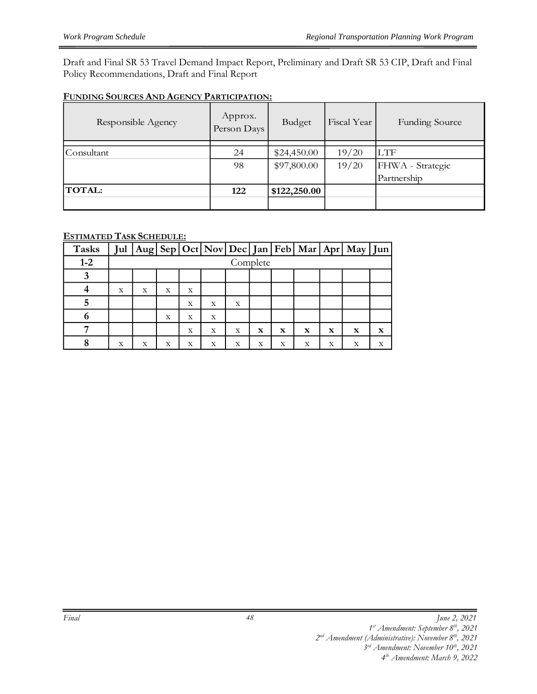Draft and Final SR 53 Travel Demand Impact Report, Preliminary and Draft SR 53 CIP, Draft and Final Policy Recommendations, Draft and Final Report

#### **FUNDING SOURCES AND AGENCY PARTICIPATION:**

| Responsible Agency | Approx.<br>Person Days | Budget       | Fiscal Year | <b>Funding Source</b> |
|--------------------|------------------------|--------------|-------------|-----------------------|
|                    |                        |              |             |                       |
| Consultant         | 24                     | \$24,450.00  | 19/20       | <b>LTF</b>            |
|                    | 98                     | \$97,800.00  | 19/20       | FHWA - Strategic      |
|                    |                        |              |             | Partnership           |
| <b>TOTAL:</b>      | 122                    | \$122,250.00 |             |                       |
|                    |                        |              |             |                       |

#### **ESTIMATED TASK SCHEDULE:**

| <b>Tasks</b> |   |          |   |   |   |   |             |             |             |             | Jul   Aug   Sep   Oct   Nov   Dec   Jan   Feb   Mar   Apr   May   Jun |             |  |
|--------------|---|----------|---|---|---|---|-------------|-------------|-------------|-------------|-----------------------------------------------------------------------|-------------|--|
| $1 - 2$      |   | Complete |   |   |   |   |             |             |             |             |                                                                       |             |  |
|              |   |          |   |   |   |   |             |             |             |             |                                                                       |             |  |
|              | X | X        | X | X |   |   |             |             |             |             |                                                                       |             |  |
|              |   |          |   | X | X | X |             |             |             |             |                                                                       |             |  |
| 6            |   |          | X | X | X |   |             |             |             |             |                                                                       |             |  |
|              |   |          |   | X | X | X | $\mathbf x$ | $\mathbf x$ | $\mathbf x$ | $\mathbf x$ | $\mathbf x$                                                           | $\mathbf x$ |  |
|              | X | X        | X | X | X | X | x           | X           | X           | x           | X                                                                     | X           |  |

*<sup>1</sup> st Amendment: September 8th, 2021* 

*<sup>2</sup> nd Amendment (Administrative): November 8th, 2021* 

*<sup>3</sup> rd Amendment: November 10th, 2021*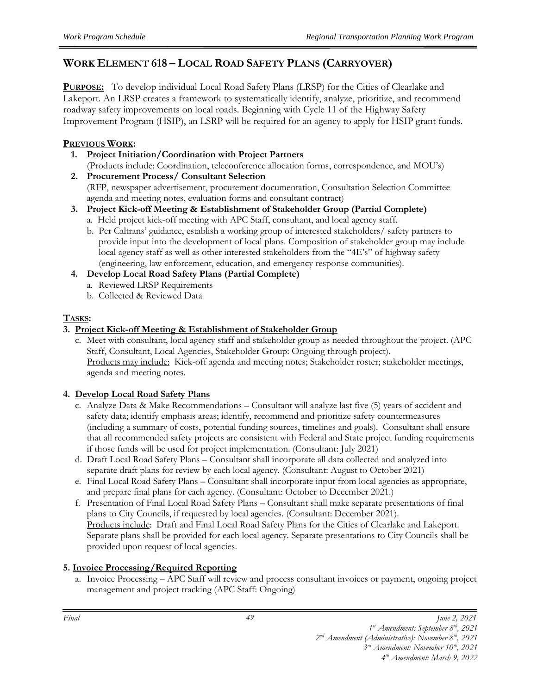# **WORK ELEMENT 618 – LOCAL ROAD SAFETY PLANS (CARRYOVER)**

**PURPOSE:** To develop individual Local Road Safety Plans (LRSP) for the Cities of Clearlake and Lakeport. An LRSP creates a framework to systematically identify, analyze, prioritize, and recommend roadway safety improvements on local roads. Beginning with Cycle 11 of the Highway Safety Improvement Program (HSIP), an LSRP will be required for an agency to apply for HSIP grant funds.

#### **PREVIOUS WORK:**

- **1. Project Initiation/Coordination with Project Partners**  (Products include: Coordination, teleconference allocation forms, correspondence, and MOU's)
- **2. Procurement Process/ Consultant Selection** (RFP, newspaper advertisement, procurement documentation, Consultation Selection Committee agenda and meeting notes, evaluation forms and consultant contract)
- **3. Project Kick-off Meeting & Establishment of Stakeholder Group (Partial Complete)** a. Held project kick-off meeting with APC Staff, consultant, and local agency staff.
	- b. Per Caltrans' guidance, establish a working group of interested stakeholders/ safety partners to provide input into the development of local plans. Composition of stakeholder group may include local agency staff as well as other interested stakeholders from the "4E's" of highway safety (engineering, law enforcement, education, and emergency response communities).
- **4. Develop Local Road Safety Plans (Partial Complete)**
	- a. Reviewed LRSP Requirements
		- b. Collected & Reviewed Data

#### **TASKS:**

#### **3. Project Kick-off Meeting & Establishment of Stakeholder Group**

c. Meet with consultant, local agency staff and stakeholder group as needed throughout the project. (APC Staff, Consultant, Local Agencies, Stakeholder Group: Ongoing through project). Products may include: Kick-off agenda and meeting notes; Stakeholder roster; stakeholder meetings, agenda and meeting notes.

#### **4. Develop Local Road Safety Plans**

- c. Analyze Data & Make Recommendations Consultant will analyze last five (5) years of accident and safety data; identify emphasis areas; identify, recommend and prioritize safety countermeasures (including a summary of costs, potential funding sources, timelines and goals). Consultant shall ensure that all recommended safety projects are consistent with Federal and State project funding requirements if those funds will be used for project implementation. (Consultant: July 2021)
- d. Draft Local Road Safety Plans Consultant shall incorporate all data collected and analyzed into separate draft plans for review by each local agency. (Consultant: August to October 2021)
- e. Final Local Road Safety Plans Consultant shall incorporate input from local agencies as appropriate, and prepare final plans for each agency. (Consultant: October to December 2021.)
- f. Presentation of Final Local Road Safety Plans Consultant shall make separate presentations of final plans to City Councils, if requested by local agencies. (Consultant: December 2021). Products include: Draft and Final Local Road Safety Plans for the Cities of Clearlake and Lakeport. Separate plans shall be provided for each local agency. Separate presentations to City Councils shall be provided upon request of local agencies.

#### **5. Invoice Processing/Required Reporting**

a. Invoice Processing – APC Staff will review and process consultant invoices or payment, ongoing project management and project tracking (APC Staff: Ongoing)

*2 nd Amendment (Administrative): November 8th, 2021 3 rd Amendment: November 10th, 2021* 

*<sup>1</sup> st Amendment: September 8th, 2021*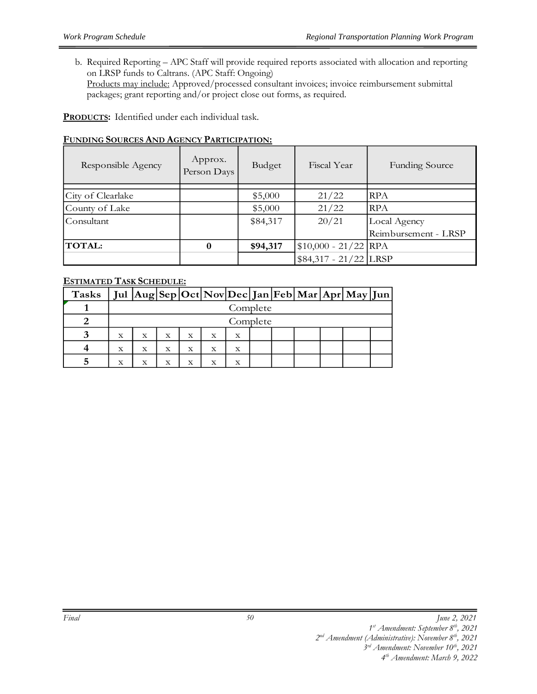b. Required Reporting – APC Staff will provide required reports associated with allocation and reporting on LRSP funds to Caltrans. (APC Staff: Ongoing) Products may include: Approved/processed consultant invoices; invoice reimbursement submittal packages; grant reporting and/or project close out forms, as required.

**PRODUCTS:** Identified under each individual task.

#### **FUNDING SOURCES AND AGENCY PARTICIPATION:**

| Responsible Agency | Approx.<br>Person Days | Budget   | Fiscal Year            | <b>Funding Source</b> |
|--------------------|------------------------|----------|------------------------|-----------------------|
|                    |                        |          |                        |                       |
| City of Clearlake  |                        | \$5,000  | 21/22                  | <b>RPA</b>            |
| County of Lake     |                        | \$5,000  | 21/22                  | <b>RPA</b>            |
| Consultant         |                        | \$84,317 | 20/21                  | Local Agency          |
|                    |                        |          |                        | Reimbursement - LRSP  |
| <b>TOTAL:</b>      | $\bf{0}$               | \$94,317 | $$10,000 - 21/22$ RPA  |                       |
|                    |                        |          | $$84,317 - 21/22$ LRSP |                       |

#### **ESTIMATED TASK SCHEDULE:**

| Tasks |             |          |              |   |         |   |  |  |  |  | Jul  Aug Sep Oct Nov Dec Jan Feb Mar Apr May Jun |  |
|-------|-------------|----------|--------------|---|---------|---|--|--|--|--|--------------------------------------------------|--|
|       |             | Complete |              |   |         |   |  |  |  |  |                                                  |  |
|       |             | Complete |              |   |         |   |  |  |  |  |                                                  |  |
|       | $\mathbf X$ | X        | $\mathbf{x}$ | X | x       | Х |  |  |  |  |                                                  |  |
|       | $\mathbf x$ | Х        | $\mathbf x$  | X | X       | x |  |  |  |  |                                                  |  |
|       | x           |          | х            |   | $\rm X$ | x |  |  |  |  |                                                  |  |

*<sup>1</sup> st Amendment: September 8th, 2021* 

*<sup>2</sup> nd Amendment (Administrative): November 8th, 2021* 

*<sup>3</sup> rd Amendment: November 10th, 2021*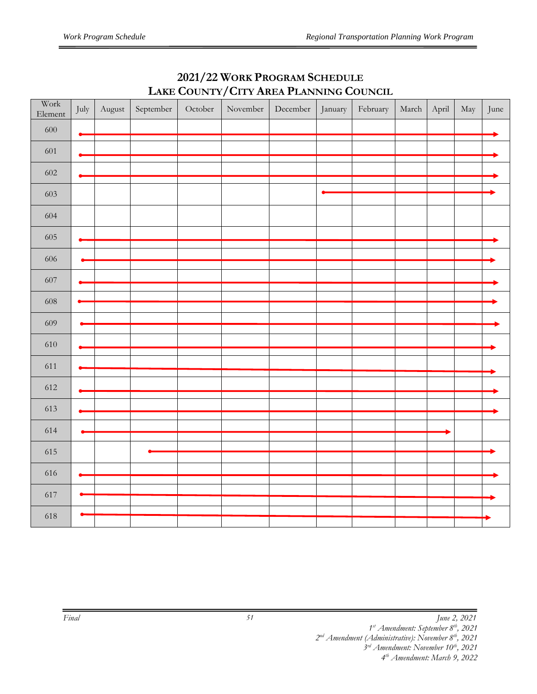| Work<br>Element | July | August | September | October | November | December | January | February | March | April | May | June |
|-----------------|------|--------|-----------|---------|----------|----------|---------|----------|-------|-------|-----|------|
| 600             | ⊷    |        |           |         |          |          |         |          |       |       |     |      |
| 601             |      |        |           |         |          |          |         |          |       |       |     |      |
| 602             |      |        |           |         |          |          |         |          |       |       |     |      |
| 603             |      |        |           |         |          |          |         |          |       |       |     |      |
| 604             |      |        |           |         |          |          |         |          |       |       |     |      |
|                 |      |        |           |         |          |          |         |          |       |       |     |      |
| 605             |      |        |           |         |          |          |         |          |       |       |     |      |
| 606             |      |        |           |         |          |          |         |          |       |       |     |      |
| 607             |      |        |           |         |          |          |         |          |       |       |     |      |
| $608\,$         |      |        |           |         |          |          |         |          |       |       |     |      |
|                 |      |        |           |         |          |          |         |          |       |       |     |      |
| 609             |      |        |           |         |          |          |         |          |       |       |     |      |
| $610\,$         |      |        |           |         |          |          |         |          |       |       |     |      |
| 611             |      |        |           |         |          |          |         |          |       |       |     |      |
| 612             |      |        |           |         |          |          |         |          |       |       |     |      |
| 613             |      |        |           |         |          |          |         |          |       |       |     |      |
|                 |      |        |           |         |          |          |         |          |       |       |     |      |
| 614             |      |        |           |         |          |          |         |          |       |       |     |      |
| 615             |      |        |           |         |          |          |         |          |       |       |     |      |
| 616             |      |        |           |         |          |          |         |          |       |       |     |      |
|                 |      |        |           |         |          |          |         |          |       |       |     |      |
| 617             |      |        |           |         |          |          |         |          |       |       |     |      |
| 618             |      |        |           |         |          |          |         |          |       |       |     |      |

# **2021/22 WORK PROGRAM SCHEDULE LAKE COUNTY/CITY AREA PLANNING COUNCIL**

*st Amendment: September 8th, 2021* 

*nd Amendment (Administrative): November 8th, 2021* 

*rd Amendment: November 10th, 2021*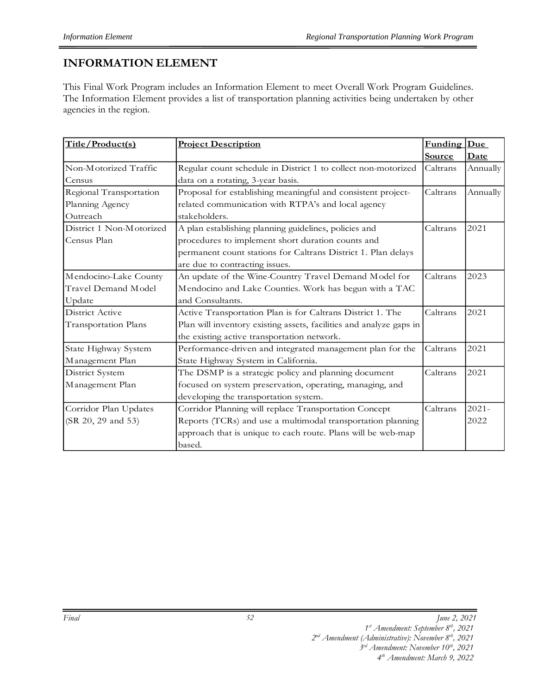# **INFORMATION ELEMENT**

This Final Work Program includes an Information Element to meet Overall Work Program Guidelines. The Information Element provides a list of transportation planning activities being undertaken by other agencies in the region.

| Title/Product(s)         | <b>Project Description</b>                                          | <b>Funding</b> | Due         |
|--------------------------|---------------------------------------------------------------------|----------------|-------------|
|                          |                                                                     | Source         | <u>Date</u> |
| Non-Motorized Traffic    | Regular count schedule in District 1 to collect non-motorized       | Caltrans       | Annually    |
| Census                   | data on a rotating, 3-year basis.                                   |                |             |
| Regional Transportation  | Proposal for establishing meaningful and consistent project-        | Caltrans       | Annually    |
| Planning Agency          | related communication with RTPA's and local agency                  |                |             |
| Outreach                 | stakeholders.                                                       |                |             |
| District 1 Non-Motorized | A plan establishing planning guidelines, policies and               | Caltrans       | 2021        |
| Census Plan              | procedures to implement short duration counts and                   |                |             |
|                          | permanent count stations for Caltrans District 1. Plan delays       |                |             |
|                          | are due to contracting issues.                                      |                |             |
| Mendocino-Lake County    | An update of the Wine-Country Travel Demand Model for               | Caltrans       | 2023        |
| Travel Demand Model      | Mendocino and Lake Counties. Work has begun with a TAC              |                |             |
| Update                   | and Consultants.                                                    |                |             |
| District Active          | Active Transportation Plan is for Caltrans District 1. The          | Caltrans       | 2021        |
| Transportation Plans     | Plan will inventory existing assets, facilities and analyze gaps in |                |             |
|                          | the existing active transportation network.                         |                |             |
| State Highway System     | Performance-driven and integrated management plan for the           | Caltrans       | 2021        |
| Management Plan          | State Highway System in California.                                 |                |             |
| District System          | The DSMP is a strategic policy and planning document                | Caltrans       | 2021        |
| Management Plan          | focused on system preservation, operating, managing, and            |                |             |
|                          | developing the transportation system.                               |                |             |
| Corridor Plan Updates    | Corridor Planning will replace Transportation Concept               | Caltrans       | $2021 -$    |
| (SR 20, 29 and 53)       | Reports (TCRs) and use a multimodal transportation planning         |                | 2022        |
|                          | approach that is unique to each route. Plans will be web-map        |                |             |
|                          | based.                                                              |                |             |